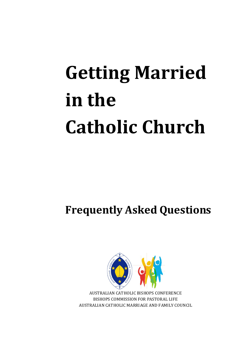# **Getting Married in the Catholic Church**

**Frequently Asked Questions**



AUSTRALIAN CATHOLIC BISHOPS CONFERENCE BISHOPS COMMISSION FOR PASTORAL LIFE AUSTRALIAN CATHOLIC MARRIAGE AND FAMILY COUNCIL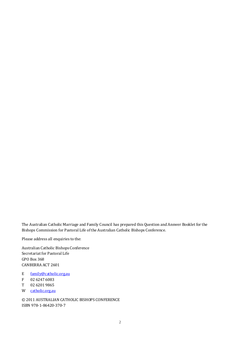The Australian Catholic Marriage and Family Council has prepared this Question and Answer Booklet for the Bishops Commission for Pastoral Life of the Australian Catholic Bishops Conference.

Please address all enquiries to the:

Australian Catholic Bishops Conference Secretariat for Pastoral Life GPO Box 368 CANBERRA ACT 2601

- E <u>[family@catholic.org.au](mailto:family@catholic.org.au)</u><br>F 02 6247 6083
- F 02 6247 6083<br>T 02 6201 9865
- T 02 6201 9865<br>W catholic.org.au
- [catholic.org.au](http://www.catholic.org.au/index.php?option=com_content&view=article&id=1172:australian-catholic-marriage-and-family-councilaustralian-catholic-marriage-and-family-council&catid=90:advisory-bodies&Itemid=305)

© 2011 AUSTRALIAN CATHOLIC BISHOPS CONFERENCE ISBN 978-1-86420-370-7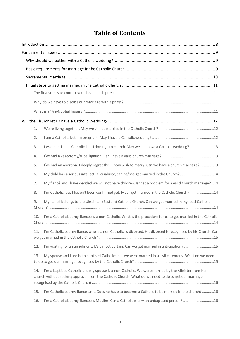# **Table of Contents**

|  | 1.             |                                                                                                                                                                                                          |  |  |  |
|--|----------------|----------------------------------------------------------------------------------------------------------------------------------------------------------------------------------------------------------|--|--|--|
|  | 2.             |                                                                                                                                                                                                          |  |  |  |
|  | 3.             | I was baptised a Catholic, but I don't go to church. May we still have a Catholic wedding?13                                                                                                             |  |  |  |
|  | 4.             |                                                                                                                                                                                                          |  |  |  |
|  | 5.             | I've had an abortion. I deeply regret this. I now wish to marry. Can we have a church marriage?13                                                                                                        |  |  |  |
|  | 6.             | My child has a serious intellectual disability, can he/she get married in the Church?14                                                                                                                  |  |  |  |
|  | 7.             | My fiancé and I have decided we will not have children. Is that a problem for a valid Church marriage?14                                                                                                 |  |  |  |
|  | 8.             | I'm Catholic, but I haven't been confirmed yet. May I get married in the Catholic Church?14                                                                                                              |  |  |  |
|  | 9.             | My fiancé belongs to the Ukrainian (Eastern) Catholic Church. Can we get married in my local Catholic                                                                                                    |  |  |  |
|  | 10.<br>Church. | I'm a Catholic but my fiancée is a non-Catholic. What is the procedure for us to get married in the Catholic                                                                                             |  |  |  |
|  | 11.            | I'm Catholic but my fiancé, who is a non Catholic, is divorced. His divorced is recognised by his Church. Can                                                                                            |  |  |  |
|  | 12.            | I'm waiting for an annulment. It's almost certain. Can we get married in anticipation?15                                                                                                                 |  |  |  |
|  | 13.            | My spouse and I are both baptised Catholics but we were married in a civil ceremony. What do we need                                                                                                     |  |  |  |
|  | 14.            | I'm a baptised Catholic and my spouse is a non-Catholic. We were married by the Minister from her<br>church without seeking approval from the Catholic Church. What do we need to do to get our marriage |  |  |  |
|  | 15.            | I'm Catholic but my fiancé isn't. Does he have to become a Catholic to be married in the church?16                                                                                                       |  |  |  |
|  | 16.            | I'm a Catholic but my fiancée is Muslim. Can a Catholic marry an unbaptised person? 16                                                                                                                   |  |  |  |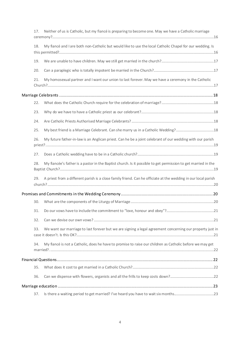| 17. | Neither of us is Catholic, but my fiancé is preparing to become one. May we have a Catholic marriage           |
|-----|----------------------------------------------------------------------------------------------------------------|
| 18. | My fiancé and I are both non-Catholic but would like to use the local Catholic Chapel for our wedding. Is      |
| 19. |                                                                                                                |
| 20. |                                                                                                                |
| 21. | My homosexual partner and I want our union to last forever. May we have a ceremony in the Catholic             |
|     |                                                                                                                |
| 22. |                                                                                                                |
| 23. |                                                                                                                |
| 24. |                                                                                                                |
| 25. |                                                                                                                |
| 26. | My future father-in-law is an Anglican priest. Can he be a joint celebrant of our wedding with our parish      |
| 27. |                                                                                                                |
| 28. | My fiancée's father is a pastor in the Baptist church. Is it possible to get permission to get married in the  |
| 29. | A priest from a different parish is a close family friend. Can he officiate at the wedding in our local parish |
|     |                                                                                                                |
| 30. |                                                                                                                |
| 31. |                                                                                                                |
| 32. |                                                                                                                |
| 33. | We want our marriage to last forever but we are signing a legal agreement concerning our property just in      |
| 34. | My fiancé is not a Catholic, does he have to promise to raise our children as Catholic before we may get       |
|     |                                                                                                                |
| 35. |                                                                                                                |
| 36. |                                                                                                                |
|     |                                                                                                                |
| 37. |                                                                                                                |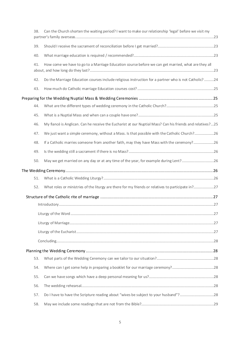| 38. | Can the Church shorten the waiting period? I want to make our relationship 'legal' before we visit my     |  |
|-----|-----------------------------------------------------------------------------------------------------------|--|
| 39. |                                                                                                           |  |
| 40. |                                                                                                           |  |
| 41. | How come we have to go to a Marriage Education course before we can get married, what are they all        |  |
| 42. | Do the Marriage Education courses include religious instruction for a partner who is not Catholic? 24     |  |
| 43. |                                                                                                           |  |
|     |                                                                                                           |  |
| 44. |                                                                                                           |  |
| 45. |                                                                                                           |  |
| 46. | My fiancé is Anglican. Can he receive the Eucharist at our Nuptial Mass? Can his friends and relatives?25 |  |
| 47. | We just want a simple ceremony, without a Mass. Is that possible with the Catholic Church?26              |  |
| 48. | If a Catholic marries someone from another faith, may they have Mass with the ceremony?26                 |  |
| 49. |                                                                                                           |  |
| 50. | May we get married on any day or at any time of the year, for example during Lent?26                      |  |
|     |                                                                                                           |  |
| 51. |                                                                                                           |  |
| 52. | What roles or ministries of the liturgy are there for my friends or relatives to participate in?27        |  |
|     |                                                                                                           |  |
|     |                                                                                                           |  |
|     |                                                                                                           |  |
|     |                                                                                                           |  |
|     |                                                                                                           |  |
|     |                                                                                                           |  |
|     |                                                                                                           |  |
| 53. |                                                                                                           |  |
| 54. |                                                                                                           |  |
| 55. |                                                                                                           |  |
| 56. |                                                                                                           |  |
| 57. | Do I have to have the Scripture reading about "wives be subject to your husband"?28                       |  |
| 58. |                                                                                                           |  |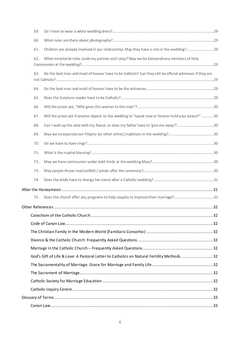|  | 59. |                                                                                                          |    |  |
|--|-----|----------------------------------------------------------------------------------------------------------|----|--|
|  | 60. |                                                                                                          |    |  |
|  | 61. | Children are already involved in our relationship. May they have a role in the wedding?29                |    |  |
|  | 62. | What ministerial roles could my partner and I play? May we be Extraordinary ministers of Holy            |    |  |
|  | 63. | Do the best man and maid of honour have to be Catholic? Can they still be official witnesses if they are |    |  |
|  | 64. |                                                                                                          |    |  |
|  | 65. |                                                                                                          |    |  |
|  | 66. |                                                                                                          |    |  |
|  | 67. | Will the priest ask if anyone objects to the wedding to "speak now or forever hold your peace?" 30       |    |  |
|  | 68. | Can I walk up the aisle with my fiancé, or does my father have to 'give me away'?30                      |    |  |
|  | 69. |                                                                                                          |    |  |
|  | 70. |                                                                                                          |    |  |
|  | 71. |                                                                                                          |    |  |
|  | 72. |                                                                                                          |    |  |
|  | 73. |                                                                                                          |    |  |
|  | 74. |                                                                                                          |    |  |
|  |     |                                                                                                          |    |  |
|  | 75. |                                                                                                          |    |  |
|  |     | Other References.                                                                                        | 32 |  |
|  |     |                                                                                                          |    |  |
|  |     |                                                                                                          |    |  |
|  |     |                                                                                                          |    |  |
|  |     |                                                                                                          |    |  |
|  |     |                                                                                                          |    |  |
|  |     | God's Gift of Life & Love: A Pastoral Letter to Catholics on Natural Fertility Methods 32                |    |  |
|  |     |                                                                                                          |    |  |
|  |     |                                                                                                          |    |  |
|  |     |                                                                                                          |    |  |
|  |     |                                                                                                          |    |  |
|  |     |                                                                                                          |    |  |
|  |     |                                                                                                          |    |  |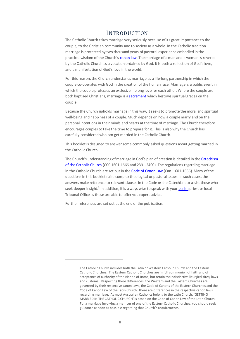# **INTRODUCTION**

<span id="page-7-0"></span>The Catholic Church takes marriage very seriously because of its great importance to the couple, to the Christian community and to society as a whole. In the Catholic tradition marriage is protected by two thousand years of pastoral experience embodied in the practical wisdom of the Church's [canon law.](#page-32-1) The marriage of a man and a woman is revered by the Catholic Church as a vocation ordained by God. It is both a reflection of God's love, and a manifestation of God's love in the world.

For this reason, the Church understands marriage as a life-long partnership in which the couple co-operates with God in the creation of the human race. Marriage is a public event in which the couple professes an exclusive lifelong love for each other. Where the couple are both baptised Christians, marriage is a [sacrament](#page-35-5) which bestows spiritual graces on the couple.

Because the Church upholds marriage in this way, it seeks to promote the moral and spiritual well-being and happiness of a couple. Much depends on how a couple marry and on the personal intentions in their minds and hearts at the time of marriage. The Church therefore encourages couples to take the time to prepare for it. This is also why the Church has carefully considered who can get married in the Catholic Church.

This booklet is designed to answer some commonly asked questions about getting married in the Catholic Church.

The Church's understanding of marriage in God's plan of creation is detailed in th[e Catechism](#page-32-2)  [of the Catholic Church](#page-32-2) (CCC 1601-1666 and 2331-2400). The regulations regarding marriage in the Catholic Church are set out in th[e Code of Canon Law](#page-32-1) (Can. 1601-1666). Many of the questions in this booklet raise complex theological or pastoral issues. In such cases, the answers make reference to relevant clauses in the Code or the Catechism to assist those who seek deeper insight.<sup>1</sup> In addition, it is always wise to speak with you[r parish](#page-35-0) priest or local Tribunal Office as these are able to offer you expert advice.

Further references are set out at the end of the publication.

 $\overline{a}$ 

 $1$  The Catholic Church includes both the Latin or Western Catholic Church and the Eastern Catholic Churches. The Eastern Catholic Churches are in full communion of faith and of acceptance of authority of the Bishop of Rome, but retain their distinctive liturgical rites, laws and customs. Respecting these differences, the Western and the Eastern Churches are governed by their respective canon laws, the Code of Canons of the Eastern Churches and the Code of Canon Law of the Latin Church. There are differences in the respective canon laws regarding marriage. As most Australian Catholics belong to the Latin Church, 'GETTING MARRIED IN THE CATHOLIC CHURCH' is based on the Code of Canon Law of the Latin Church. For a marriage involving a member of one of the Eastern Catholic Churches, you should seek guidance as soon as possible regarding that Church's requirements.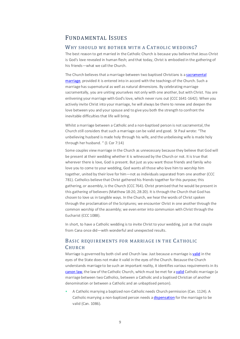# <span id="page-8-0"></span>FUNDAMENTAL ISSUES

# <span id="page-8-1"></span>WHY SHOULD WE BOTHER WITH A CATHOLIC WEDDING?

The best reason to get married in the Catholic Church is because you believe that Jesus Christ is God's love revealed in human flesh; and that today, Christ is embodied in the gathering of his friends—what we call the Church.

The Church believes that a marriage between two baptised Christians is [a sacramental](#page-36-2)  [marriage,](#page-36-2) provided it is entered into in accord with the teachings of the Church. Such a marriage has supernatural as well as natural dimensions. By celebrating marriage sacramentally, you are uniting yourselves not only with one another, but with Christ. You are enlivening your marriage with God's love, which never runs out (CCC 1641-1642). When you actively invite Christ into your marriage, he will always be there to renew and deepen the love between you and your spouse and to give you both the strength to confront the inevitable difficulties that life will bring.

Whilst a marriage between a Catholic and a non-baptised person is not sacramental, the Church still considers that such a marriage can be valid and good. St Paul wrote: "The unbelieving husband is made holy through his wife, and the unbelieving wife is made holy through her husband. " (1 Cor 7:14)

Some couples view marriage in the Church as unnecessary because they believe that God will be present at their wedding whether it is witnessed by the Church or not. It is true that wherever there is love, God is present. But just as you want those friends and family who love you to come to your wedding, God wants all those who love him to worship him together, united by their love for him—not as individuals separated from one another (CCC 781). Catholics believe that Christ gathered his friends together for this purpose; this gathering, or assembly, is the Church (CCC 764). Christ promised that he would be present in this gathering of believers (Matthew 18:20, 28:20). It is through the Church that God has chosen to love us in tangible ways. In the Church, we hear the words of Christ spoken through the proclamation of the Scriptures; we encounter Christ in one another through the common worship of the assembly; we even enter into communion with Christ through the Eucharist (CCC 1088).

In short, to have a Catholic wedding is to invite Christ to your wedding, just as that couple from Cana once did—with wonderful and unexpected results.

# <span id="page-8-2"></span>BASIC REQUIREMENTS FOR MARRIAGE IN THE CATHOLIC CHURCH

Marriage is governed by both civil and Church law. Just because a marriage i[s valid](#page-37-0) in the eyes of the State does not make it valid in the eyes of the Church. Because the Church understands marriage to be such an important reality, it identifies various requirements in its [canon law,](#page-32-1) the law of the Catholic Church, which must be met for [a valid](#page-37-0) Catholic marriage (a marriage between two Catholics, between a Catholic and a baptised Christian of another denomination or between a Catholic and an unbaptised person).

• A Catholic marrying a baptized non-Catholic needs Church permission (Can. 1124). A Catholic marrying a non-baptized person needs [a dispensation](#page-33-4) for the marriage to be valid (Can. 1086).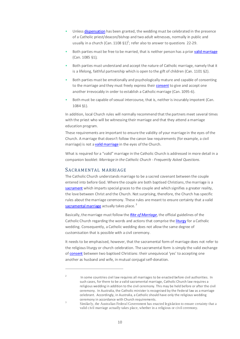- Unles[s dispensation](#page-33-4) has been granted, the wedding must be celebrated in the presence of a Catholic priest/deacon/bishop and two adult witnesses, normally in public and usually in a church (Can. 1108  $\S1$ <sup>2</sup>; refer also to answer to questions 22-29.
- Both parties must be free to be married, that is neither person has a prio[r valid marriage](#page-37-0) (Can. 1085 §1);
- Both parties must understand and accept the nature of Catholic marriage, namely that it is a lifelong, faithful partnership which is open to the gift of children (Can. 1101 §2).
- Both parties must be emotionally and psychologically mature and capable of consenting to the marriage and they must freely express thei[r consent](#page-33-0) to give and accept one another irrevocably in order to establish a Catholic marriage (Can. 1095-6).
- Both must be capable of sexual intercourse, that is, neither is incurably impotent (Can. 1084 §1).

In addition, local Church rules will normally recommend that the partners meet several times with the priest who will be witnessing their marriage and that they attend a marriage education program.

These requirements are important to ensure the validity of your marriage in the eyes of the Church. A marriage that doesn't follow the canon law requirements (for example, a civil marriage) is not [a valid marriage](#page-37-0) in the eyes of the Church.

What is required for a "valid" marriage in the Catholic Church is addressed in more detail in a companion booklet: *Marriage in the Catholic Church - Frequently Asked Questions.*

# <span id="page-9-0"></span>SACRAMENTAL MARRIAGE

.

The Catholic Church understands marriage to be a sacred covenant between the couple entered into before God. Where the couple are both baptised Christians, the marriage is [a](#page-35-5) [sacrament](#page-35-5) which imparts special graces to the couple and which signifies a greater reality, the love between Christ and the Church. Not surprising, therefore, the Church has specific rules about the marriage ceremony. These rules are meant to ensure certainty that a valid [sacramental marriage](#page-36-2) actually takes place.<sup>3</sup>

Basically, themarriage must follow the *[Rite of Marriage](#page-35-4)*, the official guidelines of the Catholic Church regarding the words and actions that comprise th[e liturgy](#page-34-2) for a Catholic wedding. Consequently, a Catholic wedding does not allow the same degree of customisation that is possible with a civil ceremony.

It needs to be emphasised, however, that the sacramental form of marriage does not refer to the religious liturgy or church celebration. The sacramental form is simply the valid exchange o[f consent](#page-33-0) between two baptised Christians: their unequivocal 'yes' to accepting one another as husband and wife, in mutual conjugal self-donation.

<sup>&</sup>lt;sup>2</sup> In some countries civil law requires all marriages to be enacted before civil authorities. In such cases, for there to be a valid sacramental marriage, Catholic Church law requires a religious wedding in addition to the civil ceremony. This may be held before or after the civil ceremony. In Australia, the Catholic minister is recognised by the Federal law as a marriage celebrant. Accordingly, in Australia, a Catholic should have only the religious wedding ceremony in accordance with Church requirements.

<sup>&</sup>lt;sup>3</sup> Similarly, the Australian Federal Government has enacted legislation to ensure certainty that a valid civil marriage actually takes place, whether in a religious or civil ceremony.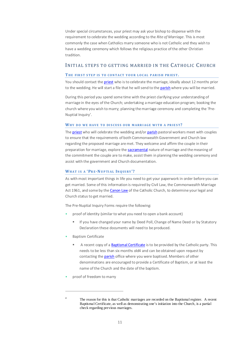Under special circumstances, your priest may ask your bishop to dispense with the requirement to celebrate the wedding according to the *Rite of Marriage*. This is most commonly the case when Catholics marry someone who is not Catholic and they wish to have a wedding ceremony which follows the religious practice of the other Christian tradition.

# <span id="page-10-0"></span>INITIAL STEPS TO GETTING MARRIED IN THE CATHOLIC CHURCH

#### <span id="page-10-1"></span>THE FIRST STEP IS TO CONTACT YOUR LOCAL PARISH PRIEST.

You should contact th[e priest](#page-35-1) who is to celebrate the marriage, ideally about 12 months prior to the wedding. He will start a file that he will send to th[e parish](#page-35-0) where you will be married.

During this period you spend some time with the priest clarifying your understanding of marriage in the eyes of the Church; undertaking a marriage education program; booking the church where you wish to marry; planning the marriage ceremony and completing the 'Pre-Nuptial Inquiry'.

#### <span id="page-10-2"></span>WHY DO WE HAVE TO DISCUSS OUR MARRIAGE WITH A PRIEST?

Th[e priest](#page-35-1) who will celebrate the wedding and/or [parish](#page-35-0) pastoral workers meet with couples to ensure that the requirements of both Commonwealth Government and Church law regarding the proposed marriage are met. They welcome and affirm the couple in their preparation for marriage, explore th[e sacramental](#page-35-5) nature of marriage and the meaning of the commitment the couple are to make, assist them in planning the wedding ceremony and assist with the government and Church documentation.

#### <span id="page-10-3"></span>WHAT IS A 'PRE-NUPTIAL INQUIRY'?

As with most important things in life you need to get your paperwork in order before you can get married. Some of this information is required by Civil Law, the Commonwealth Marriage Act 1961, and some by th[e Canon Law](#page-32-1) of the Catholic Church, to determine your legal and Church status to get married.

The Pre-Nuptial Inquiry Forms require the following:

- proof of identity (similar to what you need to open a bank account)
	- **If you have changed your name by Deed Poll, Change of Name Deed or by Statutory** Declaration these documents will need to be produced.
- Baptism Certificate
	- A recent copy of [a Baptismal Certificate](#page-36-0) is to be provided by the Catholic party. This needs to be less than six months old4 and can be obtained upon request by contacting th[e parish](#page-35-0) office where you were baptised. Members of other denominations are encouraged to provide a Certificate of Baptism, or at least the name of the Church and the date of the baptism.
- proof of freedom to marry

<sup>&</sup>lt;sup>4</sup> The reason for this is that Catholic marriages are recorded on the Baptismal register. A recent Baptismal Certificate, as well as demonstrating one's initiation into the Church, is a partial check regarding previous marriages.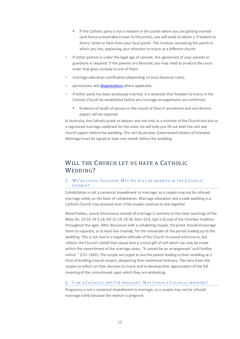- If the Catholic party is not a resident in the parish where you are getting married (and hence presumably known to the priest), you will need to obtain a 'Freedom to Marry' letter or form from your local parish. This involves contacting the parish in which you live, explaining your intention to marry at a different church.
- If either partner is under the legal age of consent, the agreement of your parents or guardians is required. If the parents are divorced, you may need to produce the court order that gives custody to one of them.
- marriage education certification (depending on local diocesan rules).
- permissions an[d dispensations](#page-33-4) where applicable.
- if either party has been previously married, it is essential that freedom to marry in the Catholic Church be established before any marriage arrangements are confirmed.
	- Evidence of death of spouse or the record of Church annulment and civil divorce papers will be required.

In Australia, the Catholic priest or deacon acts not only as a minister of the Church but also as a registered marriage celebrant for the state. He will help you fill out both the civil and church papers before the wedding. The civil (Australian Government) *Notice of Intended Marriage* must be signed at least one month before the wedding.

# <span id="page-11-0"></span>WILL THE CHURCH LET US HAVE A CATHOLIC WEDDING?

# <span id="page-11-1"></span>1. WE'RE LIVING TOGETHER. MAY WE STILL BE MARRIED IN THE CATHOLIC C HURCH?

Cohabitation is not a canonical impediment to marriage, so a couple may not be refused marriage solely on the basis of cohabitation. Marriage education and a valid wedding in a Catholic Church may proceed even if the couple continue to live together.

Nevertheless, sexual intercourse outside of marriage is contrary to the clear teachings of the Bible (Ex. 20:14; Dt 5:18; Mt 15:19; 19:18; Rom 13:9; Eph 5:3) and of the Christian tradition throughout the ages. After discussion with a cohabiting couple, the priest should encourage them to separate, or at least live chastely, for the remainder of the period leading up to the wedding. This is not due to a negative attitude of the Church to sexual intercourse, but reflects the Church's belief that sexual love is a total gift of self which can only be made within the commitment of the marriage vows: "it cannot be an arrangement 'until further notice' " (CCC 1646). The couple are urged to use the period leading to their wedding as a time of building mutual respect, deepening their emotional intimacy. This time frees the couple to reflect on their decision to marry and to develop their appreciation of the full meaning of the commitment upon which they are embarking.

#### <span id="page-11-2"></span>2. I AM A CATHOLIC, BUT I'M PREGNANT. MAY I HAVE A CATHOLIC WEDDING?

Pregnancy is not a canonical impediment to marriage, so a couple may not be refused marriage solely because the woman is pregnant.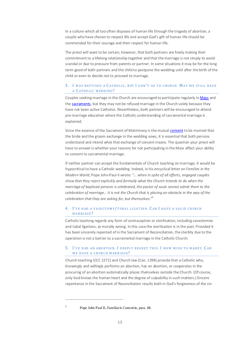In a culture which all too often disposes of human life through the tragedy of abortion, a couple who have chosen to respect life and accept God's gift of human life should be commended for their courage and their respect for human life.

The priest will want to be certain, however, that both partners are freely making their commitment to a lifelong relationship together and that the marriage is not simply to avoid scandal or due to pressure from parents or partner. In some situations it may be for the long term good of both partners and the child to postpone the wedding until after the birth of the child or even to decide not to proceed to marriage.

# <span id="page-12-0"></span>3. I WAS BAPTISED A CATHOLIC, BUT I DON'T GO TO CHURCH. MAY WE STILL HAVE A C ATHO LIC WEDD ING?

Couples seeking marriage in the Church are encouraged to participate regularly i[n Mass](#page-34-3) and th[e sacraments,](#page-35-5) but they may not be refused marriage in the Church solely because they have not been active Catholics. Nevertheless, both partners will be encouraged to attend pre-marriage education where the Catholic understanding of sacramental marriage is explained.

Since the essence of the Sacrament of Matrimony is the mutual [consent](#page-33-0) to be married that the bride and the groom exchange in the wedding vows, it is essential that both persons understand and intend what that exchange of consent means. The question your priest will have to answer is whether your reasons for not participating in the Mass affect your ability to consent to sacramental marriage.

If neither partner can accept the fundamentals of Church teaching on marriage, it would be hypocritical to have a Catholic wedding. Indeed, in his encyclical letter on *Families in the Modern World*, Pope John-Paul II wrote: *"... when in spite of all efforts, engaged couples show that they reject explicitly and formally what the Church intends to do when the marriage of baptised persons is celebrated, the pastor of souls cannot admit them to the celebration of marriage… it is not the Church that is placing an obstacle in the way of the celebration that they are asking for, but themselves*." 5

## <span id="page-12-1"></span>4. I'VE HAD A VASECTOMY/TUBAL LIGATION. CAN I HAVE A VALID CHURCH MARRIAGE?

Catholic teaching regards any form of contraception or sterilisation, including vasectomies and tubal ligations, as morally wrong. In this case the sterilisation is in the past. Provided it has been sincerely repented of in the Sacrament of Reconciliation, the sterility due to the operation is not a barrier to a sacramental marriage in the Catholic Church.

## <span id="page-12-2"></span>5. I' VE HAD AN ABO RT IO N. I DEEPLY REGRET THIS. I NO W WISH TO MARRY. C AN WE HAVE A CHURCH MARRIAGE?

Church teaching (CCC 2272) and Church law (Can. 1398) provide that a Catholic who, *knowingly* and *willingly* performs an abortion, has an abortion, or cooperates in the procuring of an abortion automatically places themselves outside the Church. (Of course, only God knows the human heart and the degree of culpability in such matters.) Sincere repentance in the Sacrament of Reconciliation results both in God's forgiveness of the sin

<sup>5</sup> Pope John Paul II, Familiaris Consortio, para. 68.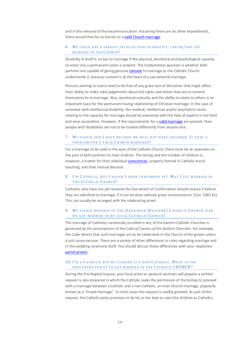and in the removal of the excommunication. Assuming there are no other impediments, there would then be no barrier to [a valid Church marriage.](#page-37-0)

### <span id="page-13-0"></span>6. MY CHILD HAS A SERIOUS INTELLECTUAL DISABILITY, CAN HE/SHE GET MARRIED IN THE CHURCH?

Disability in itself is no bar to marriage if the physical, emotional and psychological capacity to enter into a permanent union is present. The fundamental question is whether both partners are capable of giving genuin[e consent](#page-33-0) to marriage as the Catholic Church understands it, because consent is at the heart of a sacramental marriage.

Persons wishing to marry need to be free of any grave lack of discretion that might affect their ability to make valid judgements about the rights and duties they are to commit themselves to in marriage. Also, emotional maturity and the ability to relate to others is an important basis for the permanent loving relationship of Christian marriage. In the case of someone with intellectual disability, the medical, intellectual and/or psychiatric issues relating to the capacity for marriage should be examined with the help of experts in the field and wise counsellors. However, if the requirements for [a valid marriage](#page-37-0) are present, then people with disabilities are not to be treated differently from anyone else.

## <span id="page-13-1"></span>7. MY FIANCÉ AND I HAVE DECIDED WE WILL NOT HAVE CHILDREN. IS THAT A PROBLEM FOR A VALID CHURCH MARRIAGE?

For a marriage to be valid in the eyes of the Catholic Church, there must be an openness on the part of both partners to have children. The timing and the number of children is, however, a matter for their individua[l consciences,](#page-33-1) properly formed in Catholic moral teaching, and their mutual decision.

# <span id="page-13-2"></span>8. I'M CATHOLIC, BUT I HAVEN'T BEEN CONFIRMED YET. MAY I GET MARRIED IN THE CATHOLIC CHURCH?

Catholics who have not yet received the Sacrament of Confirmation should receive it before they are admitted to marriage, if it can be done without grave inconvenience. (Can. 1065 §1) This can usually be arranged with the celebrating priest.

# <span id="page-13-3"></span>9. MY FIANCÉ BELONGS TO THE UKRAINIAN (EASTERN) CATHOLIC CHURCH. CAN WE GET MARRIED IN MY LOCAL CATHOLIC CHURCH?

The marriage of Catholics canonically enrolled in any of the Eastern Catholic Churches is governed by the prescriptions of the *Code of Canons of the Eastern Churches*. For example, the *Code* directs that such marriages are to be celebrated in the Church of the groom unless a just cause excuses. There are a variety of other differences in rules regarding marriage and in the wedding ceremony itself. You should discuss these differences with your respective [parish priests.](#page-35-1)

# <span id="page-13-4"></span>10. I'M A CATHOLIC BUT MY FIANCÉE IS A NON-CATHOLIC. WHAT IS THE PROCEDURE FOR US TO GET MARRIED IN THE CATHOLIC CHURCH?

During the Pre-Nuptial Inquiry, your local priest or pastoral assistant will prepare a written request is also prepared in which the Catholic seeks the permission of the bishop to proceed with a marriage between a Catholic and a non-Catholic, an inter-Church marriage, popularly known as a "mixed marriage". In most cases this request is readily granted. As part of the request, the Catholic party promises to do his or her best to raise the children as Catholics.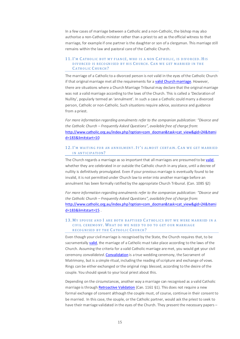In a few cases of marriage between a Catholic and a non-Catholic, the bishop may also authorise a non-Catholic minister rather than a priest to act as the official witness to that marriage, for example if one partner is the daughter or son of a clergyman. This marriage still remains within the law and pastoral care of the Catholic Church.

#### <span id="page-14-0"></span>11. I'M CATHOLIC BUT MY FIANCÉ, WHO IS A NON CATHOLIC, IS DIVORCED. HIS DIVORCED IS RECO GNISED BY HIS C HURCH. C AN WE GET MARRIED IN THE CATHOLIC CHURCH?

The marriage of a Catholic to a divorced person is not valid in the eyes of the Catholic Church if that original marriage met all the requirements for [a valid Church marriage.](#page-37-0) However, there are situations where a Church Marriage Tribunal may declare that the original marriage was not a valid marriage according to the laws of the Church. This is called a 'Declaration of Nullity', popularly termed an 'annulment'. In such a case a Catholic could marry a divorced person, Catholic or non-Catholic. Such situations require advice, assistance and guidance from a priest.

*For more information regarding annulments refer to the companion publication: "Divorce and the Catholic Church – Frequently Asked Questions", available free of charge from:* [http://www.catholic.org.au/index.php?option=com\\_docman&task=cat\\_view&gid=24&Itemi](http://www.catholic.org.au/index.php?option=com_docman&task=cat_view&gid=24&Itemid=183&limitstart=10) [d=183&limitstart=10](http://www.catholic.org.au/index.php?option=com_docman&task=cat_view&gid=24&Itemid=183&limitstart=10)

## <span id="page-14-1"></span>12. I'M WAITING FOR AN ANNULMENT. IT'S ALMOST CERTAIN. CAN WE GET MARRIED IN ANTICIPATION?

The Church regards a marriage as so important that all marriages are presumed to b[e valid,](#page-37-0) whether they are celebrated in or outside the Catholic church in any place, until a decree of nullity is definitively promulgated. Even if your previous marriage is eventually found to be invalid, it is not permitted under Church law to enter into another marriage before an annulment has been formally ratified by the appropriate Church Tribunal. (Can. 1085 §2)

*For more information regarding annulments refer to the companion publication: "Divorce and the Catholic Church – Frequently Asked Questions", available free of charge from:* [http://www.catholic.org.au/index.php?option=com\\_docman&task=cat\\_view&gid=24&Itemi](http://www.catholic.org.au/index.php?option=com_docman&task=cat_view&gid=24&Itemid=183&limitstart=15) [d=183&limitstart=15](http://www.catholic.org.au/index.php?option=com_docman&task=cat_view&gid=24&Itemid=183&limitstart=15) .

#### <span id="page-14-2"></span>13. MY SPOUSE AND I ARE BOTH BAPTISED CATHOLICS BUT WE WERE MARRIED IN A CIVIL CEREMONY. WHAT DO WE NEED TO DO TO GET OUR MARRIAGE RECOGNISED BY THE CATHOLIC CHURCH?

Even though your civil marriage is recognised by the State, the Church requires that, to be sacramentally [valid,](#page-37-0) the marriage of a Catholic must take place according to the laws of the Church. Assuming the criteria for a valid Catholic marriage are met, you would get your civil ceremony *convalidated*[. Convalidation](#page-33-2) is a true wedding ceremony, the Sacrament of Matrimony, but is a simple ritual, including the reading of scripture and exchange of vows. Rings can be either exchanged or the original rings blessed, according to the desire of the couple. You should speak to your local priest about this.

Depending on the circumstances, another way a marriage can recognised as a valid Catholic marriage is throug[h Retroactive Validation](#page-35-2) (Can. 1161 §1). This does not require a new formal exchange of consent although the couple must, of course, continue in their consent to be married. In this case, the couple, or the Catholic partner, would ask the priest to seek to have their marriage validated in the eyes of the Church. They present the necessary papers –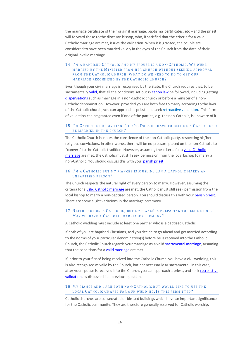the marriage certificate of their original marriage, baptismal certificates, etc – and the priest will forward these to the diocesan bishop, who, if satisfied that the criteria for a valid Catholic marriage are met, issues the validation. When it is granted, the couple are considered to have been married validly in the eyes of the Church from the date of their original invalid marriage.

## <span id="page-15-0"></span>14. I'M A BAPTISED CATHOLIC AND MY SPOUSE IS A NON-CATHOLIC. WE WERE MARRIED BY THE MINISTER FROM HER CHURCH WITHOUT SEEKING APPROVAL FROM THE CATHOLIC CHURCH. WHAT DO WE NEED TO DO TO GET OUR MARRIAGE RECOGNISED BY THE CATHOLIC CHURCH?

Even though your civil marriage is recognised by the State, the Church requires that, to be sacramentally [valid,](#page-37-0) that all the conditions set out i[n canon law](#page-32-1) be followed, including getting [dispensations](#page-33-4) such as marriage in a non-Catholic church or before a minister of a non-Catholic denomination. However, provided you are both free to marry according to the laws of the Catholic church, you can approach a priest, and see[k retroactive validation.](#page-35-2) This form of validation can be granted even if one of the parties, e.g. the non-Catholic, is unaware of it.

# <span id="page-15-1"></span>15. I'M CATHOLIC BUT MY FIANCÉ ISN'T. DOES HE HAVE TO BECOME A CATHOLIC TO BE MARRIED IN THE CHURCH?

The Catholic Church honours the conscience of the non-Catholic party, respecting his/her religious convictions. In other words, there will be no pressure placed on the non-Catholic to "convert" to the Catholic tradition. However, assuming the criteria for [a valid Catholic](#page-37-0)  [marriage](#page-37-0) are met, the Catholic must still seek permission from the local bishop to marry a non-Catholic. You should discuss this with your [parish priest.](#page-35-1)

## <span id="page-15-2"></span>16. I'M A CATHOLIC BUT MY FIANCÉE IS MUSLIM. CAN A CATHOLIC MARRY AN UNBAPTISED PERSON?

The Church respects the natural right of every person to marry. However, assuming the criteria for [a valid Catholic marriage](#page-37-0) are met, the Catholic must still seek permission from the local bishop to marry a non-baptised person. You should discuss this with you[r parish priest.](#page-35-1) There are some slight variations in the marriage ceremony.

#### <span id="page-15-3"></span>17. NEITHER OF US IS CATHOLIC, BUT MY FIANCÉ IS PREPARING TO BECOME ONE. MAY WE HAVE A CATHOLIC MARRIAGE CEREMONY?

A Catholic wedding must include at least one partner who is a baptised Catholic.

If both of you are baptised Christians, and you decide to go ahead and get married according to the norms of your particular denomination(s) before he is received into the Catholic Church, the Catholic Church regards your marriage as a valid [sacramental marriage,](#page-36-2) assuming that the conditions for [a valid marriage](#page-37-0) are met.

If, prior to your fiancé being received into the Catholic Church, you have a civil wedding, this is also recognised as valid by the Church, but not necessarily as sacramental. In this case, after your spouse is received into the Church, you can approach a priest, and seek retroactive [validation,](#page-35-2) as discussed in a previous question.

## <span id="page-15-4"></span>18. MY FIANCÉ AND I ARE BOTH NON-CATHOLIC BUT WOULD LIKE TO USE THE LOCAL CATHOLIC CHAPEL FOR OUR WEDDING. IS THIS PERMITTED?

Catholic churches are consecrated or blessed buildings which have an important significance for the Catholic community. They are therefore generally reserved for Catholic worship.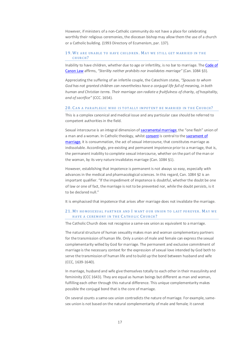However, if ministers of a non-Catholic community do not have a place for celebrating worthily their religious ceremonies, the diocesan bishop may allow them the use of a church or a Catholic building. (1993 Directory of Ecumenism, par. 137).

#### <span id="page-16-0"></span>19. WE ARE UNABLE TO HAVE CHILDREN. MAY WE STILL GET MARRIED IN THE CHURCH?

Inability to have children, whether due to age or infertility, is no bar to marriage. Th[e Code of](#page-32-1)  [Canon Law](#page-32-1) affirms, *"Sterility neither prohibits nor invalidates marriage"* (Can. 1084 §3).

Appreciating the suffering of an infertile couple, the Catechism states, *"Spouses to whom God has not granted children can nevertheless have a conjugal life full of meaning, in both human and Christian terms. Their marriage can radiate a fruitfulness of charity, of hospitality, and of sacrifice"* (CCC. 1654).

#### <span id="page-16-1"></span>20. CAN A PARAPLEGIC WHO IS TOTALLY IMPOTENT BE MARRIED IN THE CHURCH?

This is a complex canonical and medical issue and any particular case should be referred to competent authorities in the field.

Sexual intercourse is an integral dimension of [sacramental marriage,](#page-36-2) the "one flesh" union of a man and a woman. In Catholic theology, whils[t consent](#page-33-0) is central to the sacrament of [marriage,](#page-36-2) it is consummation, the act of sexual intercourse, that constitutes marriage as indissoluble. Accordingly, pre-existing and permanent impotence prior to a marriage, that is, the permanent inability to complete sexual intercourse, whether on the part of the man or the woman, by its very nature invalidates marriage (Can. 1084 §1).

However, establishing that impotence is permanent is not always so easy, especially with advances in the medical and pharmacological sciences. In this regard, Can. 1084 §2 is an important qualifier. "If the impediment of impotence is doubtful, whether the doubt be one of law or one of fact, the marriage is not to be prevented nor, while the doubt persists, is it to be declared null."

It is emphasised that impotence that arises after marriage does not invalidate the marriage.

#### <span id="page-16-2"></span>21. MY HOMOSEXUAL PARTNER AND I WANT OUR UNION TO LAST FOREVER. MAY WE HAVE A CEREMONY IN THE CATHOLIC CHURCH?

The Catholic Church does not recognise a same-sex union as equivalent to a marriage.

The natural structure of human sexuality makes man and woman complementary partners for the transmission of human life. Only a union of male and female can express the sexual complementarity willed by God for marriage. The permanent and exclusive commitment of marriage is the necessary context for the expression of sexual love intended by God both to serve the transmission of human life and to build up the bond between husband and wife (CCC*,* 1639-1640).

In marriage, husband and wife give themselves totally to each other in their masculinity and femininity (CCC 1643). They are equal as human beings but different as man and woman, fulfilling each other through this natural difference. This unique complementarity makes possible the conjugal bond that is the core of marriage.

On several counts a same-sex union contradicts the nature of marriage. For example, samesex union is not based on the natural complementarity of male and female; it cannot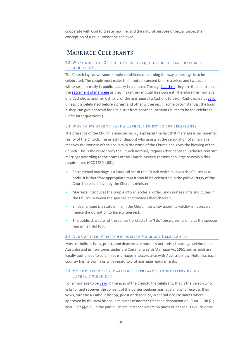cooperate with God to create new life; and the natural purpose of sexual union, the conception of a child, cannot be achieved.

# <span id="page-17-0"></span>MARRIAGE CELEBRANTS

# <span id="page-17-1"></span>22. WHAT DOES THE CATHOLIC CHURCH REQUIRE FOR THE CELEBRATION OF MARRIAGE?

The Church lays down some simple conditions concerning the way a marriage is to be celebrated. The couple must make their mutual consent before a priest and two adult witnesses, normally in public, usually in a church. Throug[h baptism,](#page-36-0) they are the ministers of th[e sacrament of marriage](#page-36-2) as they make their mutual free consent. Therefore the marriage of a Catholic to another Catholic, or the marriage of a Catholic to a non-Catholic, is no[t valid](#page-37-0) unless it is celebrated before a priest and other witnesses. In some circumstances, the local bishop can give approval for a minister from another Christian Church to be the celebrant. (Refer later questions.)

#### <span id="page-17-2"></span>23. WHY DO WE HAVE TO HAVE A CATHOLIC PRIEST AS OUR CELEBRANT?

The presence of the Church's minister visibly expresses the fact that marriage is sacramental reality of the Church. The priest (or deacon) who assists at the celebration of a marriage receives the consent of the spouses in the name of the Church and gives the blessing of the Church. This is the reason why the Church normally requires that baptised Catholics contract marriage according to the norms of the Church. Several reasons converge to explain this requirement (CCC 1630-1631):

- Sacramental marriage is a liturgical act of the Church which involves the Church as a body. It is therefore appropriate that it should be celebrated in the public *liturgy* of the Church presided over by the Church's minister;
- Marriage introduces the couple into an ecclesial order, and creates rights and duties in the Church between the spouses and towards their children;
- Since marriage is a state of life in the Church, certainty about its validity is necessary (hence the obligation to have witnesses);
- The public character of the consent protects the "I do" once given and helps the spouses remain faithful to it.

#### <span id="page-17-3"></span>24. ARE CATHOLIC PRIESTS AUTHORISED MARRIAGE CELEBRANTS?

Most catholic bishops, priests and deacons are normally authorised marriage celebrants in Australia and its Territories under the Commonwealth Marriage Act 1961 and as such are legally authorised to solemnise marriages in accordance with Australian law. Note that each country has its own laws with regard to civil marriage requirements.

# <span id="page-17-4"></span>25. MY BEST FRIEND IS A MARRIAGE CELEBRANT. CAN SHE MARRY US IN A CATHOLIC WEDDING?

For a marriage to b[e valid](#page-37-0) in the eyes of the Church, the celebrant, that is the person who asks for and receives the consent of the parties seeking marriage and who receives their vows, must be a Catholic bishop, priest or deacon or, in special circumstances where approved by the local bishop, a minister of another Christian denomination. (Can. 1108 §1; also 1127 §§2-3). In the particular circumstance where no priest or deacon is available the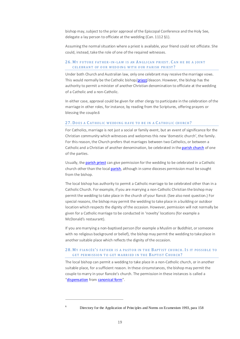bishop may, subject to the prior approval of the Episcopal Conference and the Holy See, delegate a lay person to officiate at the wedding (Can. 1112 §1).

Assuming the normal situation where a priest is available, your friend could not officiate. She could, instead, take the role of one of the required witnesses.

# <span id="page-18-0"></span>26. MY FUTURE FATHER-IN-LAW IS AN A NGLICAN PRIEST . C AN HE BE A JOINT CELEBRANT OF OUR WEDDING WITH OUR PARISH PRIEST?

Under both Church and Australian law, only one celebrant may receive the marriage vows. This would normally be the Catholic bishop[/priest/](#page-35-1)deacon. However, the bishop has the authority to permit a minister of another Christian denomination to officiate at the wedding of a Catholic and a non-Catholic.

In either case, approval could be given for other clergy to participate in the celebration of the marriage in other roles, for instance, by reading from the Scriptures, offering prayers or blessing the couple.6

#### <span id="page-18-1"></span>27. DOES A CATHOLIC WEDDING HAVE TO BE IN A CATHOLIC CHURCH?

For Catholics, marriage is not just a social or family event, but an event of significance for the Christian community which witnesses and welcomes this new 'domestic church', the family. For this reason, the Church prefers that marriages between two Catholics, or between a Catholic and a Christian of another denomination, be celebrated in th[e parish church](#page-35-0) of one of the parties.

Usually, th[e parish priest](#page-35-1) can give permission for the wedding to be celebrated in a Catholic church other than the loca[l parish,](#page-35-0) although in some dioceses permission must be sought from the bishop.

The local bishop has authority to permit a Catholic marriage to be celebrated other than in a Catholic Church. For example, if you are marrying a non-Catholic Christian the bishop may permit the wedding to take place in the church of your fiancé. (See also next question.) For special reasons, the bishop may permit the wedding to take place in a building or outdoor location which respects the dignity of the occasion. However, permission will not normally be given for a Catholic marriage to be conducted in 'novelty' locations (for example a McDonald's restaurant).

If you are marrying a non-baptised person (for example a Muslim or Buddhist, or someone with no religious background or belief), the bishop may permit the wedding to take place in another suitable place which reflects the dignity of the occasion.

#### <span id="page-18-2"></span>28. MY FIANCÉE'S FATHER IS A PASTOR IN THE BAPTIST CHURCH. IS IT POSSIBLE TO GET PERMISSION TO GET MARRIED IN THE BAPTIST C HURCH?

The local bishop can permit a wedding to take place in a non-Catholic church, or in another suitable place, for a sufficient reason. In these circumstances, the bishop may permit the couple to marry in your fiancée's church. The permission in these instances is called a ["dispensation](#page-33-4) fro[m canonical form"](#page-32-2).

<sup>6</sup> Directory for the Application of Principles and Norms on Ecumenism 1993, para 158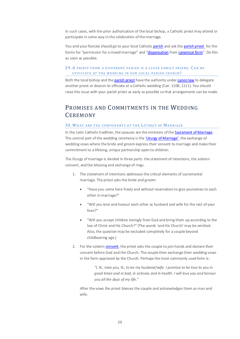In such cases, with the prior authorization of the local bishop, a Catholic priest may attend or participate in some way in the celebration of the marriage.

You and your fiancée should go to your local Catholi[c parish](#page-35-0) and ask th[e parish priest](#page-35-1) for the forms for "permission for a mixed marriage" and ["dispensation](#page-33-4) fro[m canonical form"](#page-32-2). Do this as soon as possible.

# <span id="page-19-0"></span>29. A PRIEST FROM A D IFFERENT PARISH IS A CLO SE FAM ILY FRIEND . C AN HE OFFICIATE AT THE WEDDING IN OUR LOCAL PARISH CHURCH?

Both the local bishop and th[e parish priest](#page-35-1) have the authority unde[r canon law](#page-32-1) to delegate another priest or deacon to officiate at a Catholic wedding (Can. 1108, 1111). You should raise this issue with your parish priest as early as possible so that arrangements can be made.

# <span id="page-19-1"></span>PROMISES AND COMMITMENTS IN THE WEDDING **CEREMONY**

#### <span id="page-19-2"></span>30. WHAT ARE THE COMPONENTS OF THE LIT URGY OF MARRIAGE

In the Latin Catholic tradition, the spouses are the ministers of th[e Sacrament of Marriage.](#page-36-2) The central part of the wedding ceremony is the ['Liturgy of Marriage',](#page-34-2) the exchange of wedding vows where the bride and groom express their consent to marriage and make their commitment to a lifelong, unique partnership open to children.

The liturgy of marriage is divided in three parts: the statement of intentions, the solemn consent, and the blessing and exchange of rings.

- 1. The statement of intentions addresses the critical elements of sacramental marriage. The priest asks the bride and groom:
	- "Have you come here freely and without reservation to give yourselves to each other in marriage?"
	- "Will you love and honour each other as husband and wife for the rest of your lives?"
	- "Will you accept children lovingly from God and bring them up according to the law of Christ and His Church?" (The words 'and His Church' may be omitted. Also, the question may be excluded completely for a couple beyond childbearing age.)
- 2. For the solem[n consent,](#page-33-0) the priest asks the couple to join hands and declare their consent before God and the Church. The couple then exchange their wedding vows in the form approved by the Church. Perhaps the most commonly used form is:

*"I, N., take you, N., to be my husband/wife. I promise to be true to you in good times and in bad, in sickness and in health. I will love you and honour you all the days of my life."* 

*A*fter the vows the priest blesses the couple and acknowledges them as man and wife.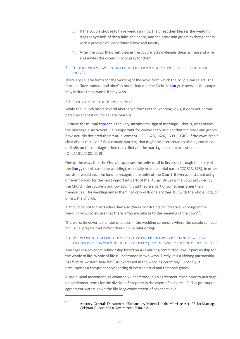- 3. If the couple choose to have wedding rings, the priest then blesses the wedding rings as symbols of deep faith and peace, and the bride and groom exchange them with a promise of unconditional love and fidelity.
- 4. After the vows the priest blesses the couple, acknowledges them as man and wife and invites the community to pray for them.

## <span id="page-20-0"></span>31. DO OUR VOWS HAVE TO INCLUDE THE COMMITMENT TO "LOVE, HONOUR AND OBEY"?

There are several forms for the wording of the vows from which the couple can select. The formula "love, honour and obey" is not included in the Catholi[c liturgy.](#page-34-2) However, the couple may include these words if they wish.

#### <span id="page-20-1"></span>32. C AN WE DEVISE OUR OWN VOWS?

While the Church offers several alternative forms of the wedding vows, it does not permit personal adaptation, for several reasons.

Because the mutual [consent](#page-33-0) is the very sacramental sign of marriage – that is, what makes the marriage a sacrament – it is important for everyone to be clear that the bride and groom have actually declared their mutual consent (CCC 1623, 1626, 1639 - 1640). If the vows aren't clear about that—or if they contain wording that might be interpreted as placing conditions or limits on the marriage—then the validity of the marriage becomes questionable (Can.1101, 1102, 1119).

One of the ways that the Church expresses the unity of all believers is through the unity of th[e liturgy](#page-34-2) (in this case, the wedding), especially in its essential parts (CCC 813, 815). In other words, it would become hard to recognize the unity of the Church if everyone started using different words for the most important parts of the liturgy. By using the vows provided by the Church, the couple is acknowledging that they are part of something larger than themselves. The wedding unites them not only with one another, but with the whole Body of Christ, the Church.

It should be noted that Federal law also places constraints on 'creative wording' of the wedding vows to ensure that there is "no mistake as to the meaning of the vows"<sup>7</sup>.

There are, however, a number of places in the wedding ceremony where the couple can add individual prayers that reflect their unique relationship.

## <span id="page-20-2"></span>33. WE WANT OUR MARRIAGE TO LAST FO REVER BUT WE ARE SIGNING A LEGAL AGREEMENT CONCERNING OUR PROPERTY JUST IN CASE IT DOESN'T. IS THIS OK?

Marriage is a covenant relationship based on an enduring committed love: a partnership for the whole of life. Whole of life is understood in two ways. Firstly, it is a lifelong partnership*, "as long as we both shall live"*, as expressed in the wedding ceremony. Secondly, it presupposes a comprehensive sharing of both spiritual and temporal goods.

A pre-nuptial agreement, as commonly understood, is an agreement made prior to marriage on settlement terms for the division of property in the event of a divorce. Such a pre-nuptial agreement waters down the life-long commitment of covenant love.

<sup>7</sup> Attorney Generals Department, "Explanatory Material on the Marriage Act 1961for Marriage Celebrants", Australian Government, 2008, p.31.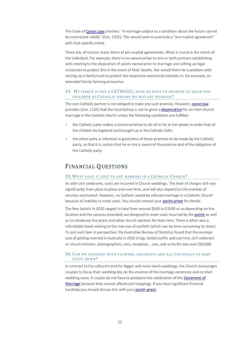The Code o[f Canon Law](#page-32-1) provides: "A marriage subject to a condition about the future cannot be contracted validly" (Can. 1102). This would seem to preclude a "pre-nuptial agreement" with that specific intent.

There are, of course, many forms of pre-nuptial agreements. What is crucial is the intent of the individual. For example, there is no canonical bar to one or both partners establishing wills relating to the disposition of assets owned prior to marriage and setting up legal structures to protect this in the event of their deaths. Nor would there be a problem with setting up a family trust to protect the respective ownership interests in, for example, an extended family farming enterprise.

#### <span id="page-21-0"></span>34. MY FIANCÉ IS NOT A CATHOLIC: DOES HE HAVE TO PROMISE TO RAISE OUR CHILDREN AS C ATHO LIC BEFO RE WE MAY GET MARRIED ?

The non-Catholic partner is not obliged to make any such promise. However[, canon law](#page-32-1) provides (Can. 1125) that the local bishop is not to grant [a dispensation](#page-33-4) for an inter-church marriage in the Catholic church unless the following conditions are fulfilled:

- the Catholic party makes a sincere promise to do all in his or her power in order that all the children be baptised and brought up in the Catholic faith;
- the other party is informed in good time of these promises to be made by the Catholic party, so that it is certain that he or she is aware of the promise and of the obligation of the Catholic party

# <span id="page-21-1"></span>FINANCIAL QUESTIONS

#### <span id="page-21-2"></span>35. WHAT DOES IT COST TO GET MARRIED IN A CATHOLIC CHURCH?

As with civil celebrants, costs are incurred in Church weddings. The level of charges will vary significantly from place to place and over time, and will also depend on the number of services contracted. However, no Catholic would be refused marriage in a Catholic Church because of inability to meet costs. You should contact you[r parish priest](#page-35-1) for details.

The fees (which in 2010 ranged in total from around \$500 to \$1500 or so depending on the location and the services provided) are designed to meet costs incurred by th[e parish](#page-35-0) as well as to reimburse the priest and other church workers for their time. There is often also a refundable bond relating to the non-use of confetti (which can be time-consuming to clean). To put such fees in perspective, the Australian Bureau of Statistics found that the *average* cost of getting married in Australia in 2010 (rings, bridal outfits and suit hire, civil celebrant or church minister, photographers, cars, reception, , cars, and so forth) was over \$30,000.

#### <span id="page-21-3"></span>36. CAN WE DISPENSE WITH FLOWERS, ORGANISTS AND ALL THE FRILLS TO KEEP COSTS DOWN?

In contrast to the cultural trend for bigger and more lavish weddings, the Church encourages couples to focus their wedding day on the essence of the marriage ceremony and on their wedding vows. A couple do not have to postpone the celebration of the Sacrament of [Marriage](#page-36-2) because they cannot afford such trappings. If you have significant financial hardship you should discuss this with you[r parish priest.](#page-35-1)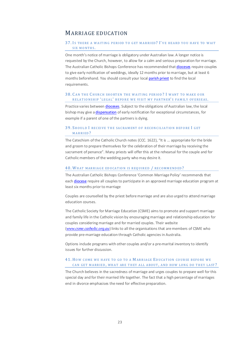# <span id="page-22-0"></span>MARRIAGE EDUCATION

#### <span id="page-22-1"></span>37. IS THERE A WAITING PERIOD TO GET MARRIED? I'VE HEARD YOU HAVE TO WAIT SIX MONTHS.

One month's notice of marriage is obligatory under Australian law. A longer notice is requested by the Church, however, to allow for a calm and serious preparation for marriage. The Australian Catholic Bishops Conference has recommended tha[t dioceses](#page-33-3) require couples to give early notification of weddings, ideally 12 months prior to marriage, but at least 6 months beforehand. You should consult your loca[l parish priest](#page-35-1) to find the local requirements.

### <span id="page-22-2"></span>38. C AN THE C HURCH SHO RTEN THE WAITING PERIOD ? I WANT TO MAKE OUR RELATIONSHIP 'LEGAL' BEFORE WE VISIT MY PARTNER'S FAMILY OVERSEAS.

Practice varies betwee[n dioceses.](#page-33-3) Subject to the obligations of Australian law, the local bishop may give [a dispensation](#page-33-4) of early notification for exceptional circumstances, for example if a parent of one of the partners is dying.

# <span id="page-22-3"></span>39. SHOULD I RECEIVE THE SACRAMENT OF RECONCILIATION BEFORE I GET MARRIED?

Th[e Catechism](http://www.vatican.net/archive/catechism/p2s2c3a7.htm) of the Catholic Church notes (CCC. 1622), "It is ... appropriate for the bride and groom to prepare themselves for the celebration of their marriage by receiving the sacrament of penance". Many priests will offer this at the rehearsal for the couple and for Catholic members of the wedding party who may desire it.

#### <span id="page-22-4"></span>40. WHAT MARRIAGE EDUCATION IS REQUIRED / RECOMMENDED?

The Australian Catholic Bishops Conference 'Common Marriage Policy' recommends that eac[h diocese](#page-33-3) require all couples to participate in an approved marriage education program at least six months prior to marriage

Couples are counselled by the priest before marriage and are also urged to attend marriage education courses.

The Catholic Society for Marriage Education (CSME) aims to promote and support marriage and family life in the Catholic vision by encouraging marriage and relationship education for couples considering marriage and for married couples. Their website (*[www.csme.catholic.org.au](http://www.csme.catholic.org.au/)*) links to all the organisations that are members of CSME who provide pre-marriage education through Catholic agencies in Australia.

Options include programs with other couples and/or a pre-marital inventory to identify issues for further discussion.

# <span id="page-22-5"></span>41. HOW COME WE HAVE TO GO TO A MARRIAGE EDUCATION COURSE BEFORE WE CAN GET MARRIED, WHAT ARE THEY ALL ABOUT, AND HOW LONG DO THEY LAST?

The Church believes in the sacredness of marriage and urges couples to prepare well for this special day and for their married life together. The fact that a high percentage of marriages end in divorce emphasises the need for effective preparation.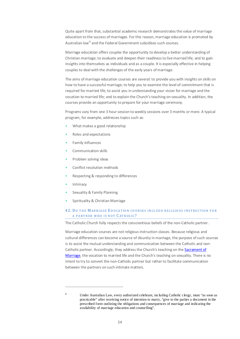Quite apart from that, substantial academic research demonstrates the value of marriage education to the success of marriages. For this reason, marriage education is promoted by Australian law<sup>8</sup> and the Federal Government subsidises such courses.

Marriage education offers couples the opportunity to develop a better understanding of Christian marriage; to evaluate and deepen their readiness to live married life; and to gain insights into themselves as individuals and as a couple. It is especially effective in helping couples to deal with the challenges of the early years of marriage.

The aims of marriage education courses are several: to provide you with insights on skills on how to have a successful marriage; to help you to examine the level of commitment that is required for married life; to assist you in understanding your vision for marriage and the vocation to married life; and to explain the Church's teaching on sexuality. In addition, the courses provide an opportunity to prepare for your marriage ceremony.

Programs vary from one 3 hour session to weekly sessions over 3 months or more. A typical program, for example, addresses topics such as:

- What makes a good relationship
- Roles and expectations
- Family influences
- Communication skills
- Problem solving ideas
- Conflict resolution methods
- Respecting & responding to differences
- **Intimacy**

.

- Sexuality & Family Planning
- Spirituality & Christian Marriage

# <span id="page-23-0"></span>42. DO THE MARRIAGE EDUCATION COURSES INCLUDE RELIGIOUS INSTRUCTION FOR A PARTNER WHO IS NOT C ATHOLIC?

The Catholic Church fully respects the conscientious beliefs of the non-Catholic partner.

Marriage education courses are not religious instruction classes. Because religious and cultural differences can become a source of disunity in marriage, the purpose of such courses is to assist the mutual understanding and communication between the Catholic and non-Catholic partner. Accordingly, they address the Church's teaching on th[e Sacrament of](#page-36-2)  [Marriage,](#page-36-2) the vocation to married life and the Church's teaching on sexuality. There is no intent to try to convert the non-Catholic partner but rather to facilitate communication between the partners on such intimate matters.

<sup>8</sup> Under Australian Law, every authorized celebrant, including Catholic clergy, must "as soon as practicable" after receiving notice of intention to marry, "give to the parties a document in the prescribed form outlining the obligations and consequences of marriage and indicating the availability of marriage education and counselling".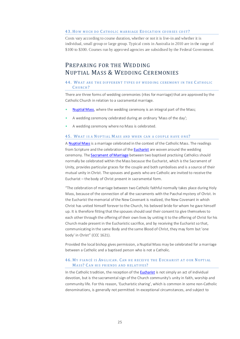#### <span id="page-24-0"></span>43. HOW MUCH DO CATHOLIC MARRIAGE EDUCATION COURSES COST?

Costs vary according to course duration, whether or not it is live-in and whether it is individual, small group or large group. Typical costs in Australia in 2010 are in the range of \$100 to \$300. Courses run by approved agencies are subsidised by the Federal Government.

# <span id="page-24-1"></span>PREPARING FOR THE WEDDING NUPTIAL MASS & WEDDING CEREMONIES

## <span id="page-24-2"></span>44. WHAT ARE THE DIFFERENT TYPES OF WEDDING CEREMONY IN THE CATHOLIC C HURCH?

There are three forms of wedding ceremonies (rites for marriage) that are approved by the Catholic Church in relation to a sacramental marriage.

- [Nuptial Mass,](#page-34-3) where the wedding ceremony is an integral part of the Mass;
- A wedding ceremony celebrated during an ordinary 'Mass of the day';
- A wedding ceremony where no Mass is celebrated.

#### <span id="page-24-3"></span>45. WHAT IS A NUPTIAL MASS AND WHEN CAN A COUPLE HAVE ONE?

A [Nuptial Mass](#page-34-3) is a marriage celebrated in the context of the Catholic Mass. The readings from Scripture and the celebration of th[e Eucharist](#page-36-1) are woven around the wedding ceremony. The **Sacrament of Marriage** between two baptised practising Catholics should normally be celebrated within the Mass because the Eucharist, which is the Sacrament of Unity, provides particular graces for the couple and both symbolises and is a source of their mutual unity in Christ. The spouses and guests who are Catholic are invited to receive the Eucharist – the body of Christ present in sacramental form.

"The celebration of marriage between two Catholic faithful normally takes place during Holy Mass, because of the connection of all the sacraments with the Paschal mystery of Christ. In the Eucharist the memorial of the New Covenant is realized, the New Covenant in which Christ has united himself forever to the Church, his beloved bride for whom he gave himself up. It is therefore fitting that the spouses should seal their consent to give themselves to each other through the offering of their own lives by uniting it to the offering of Christ for his Church made present in the Eucharistic sacrifice, and by receiving the Eucharist so that, communicating in the same Body and the same Blood of Christ, they may form but 'one body' in Christ" (CCC 1621).

Provided the local bishop gives permission, a Nuptial Mass may be celebrated for a marriage between a Catholic and a baptised person who is not a Catholic.

## <span id="page-24-4"></span>46. MY FIANCÉ IS ANGLICAN. C AN HE RECEIVE THE E UCHARIST AT OUR NUPTIAL MASS? CAN HIS FRIENDS AND RELATIVES?

In the Catholic tradition, the reception of th[e Eucharist](#page-36-1) is not simply an act of individual devotion, but is the sacramental sign of the Church community's unity in faith, worship and community life. For this reason, 'Eucharistic sharing', which is common in some non-Catholic denominations, is generally not permitted. In exceptional circumstances, and subject to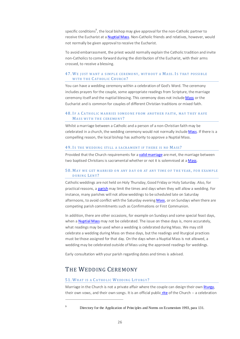specific conditions<sup>9</sup>, the local bishop may give approval for the non-Catholic partner to receive the Eucharist at [a Nuptial Mass.](#page-34-3) Non-Catholic friends and relatives, however, would not normally be given approval to receive the Eucharist.

To avoid embarrassment, the priest would normally explain the Catholic tradition and invite non-Catholics to come forward during the distribution of the Eucharist, with their arms crossed, to receive a blessing.

# <span id="page-25-0"></span>47. WE JUST WANT A SIMPLE CEREMONY, WITHOUT A MASS. IS THAT POSSIBLE WITH THE CATHOLIC CHURCH?

You can have a wedding ceremony within a celebration of God's Word. The ceremony includes prayers for the couple, some appropriate readings from Scripture, the marriage ceremony itself and the nuptial blessing. This ceremony does not includ[e Mass](#page-34-3) or the Eucharist and is common for couples of different Christian traditions or mixed faith.

# <span id="page-25-1"></span>48. IF A CATHOLIC MARRIES SOMEONE FROM ANOTHER FAITH, MAY THEY HAVE MASS WITH THE CEREMO NY?

Whilst a marriage between a Catholic and a person of a non-Christian faith may be celebrated in a church, the wedding ceremony would not normally includ[e Mass.](#page-34-3) If there is a compelling reason, the local bishop has authority to approve a Nuptial Mass.

#### <span id="page-25-2"></span>49. IS THE WEDDING STILL A SACRAMENT IF THERE IS NO MASS?

Provided that the Church requirements for [a valid marriage](#page-37-0) are met, the marriage between two baptised Christians is sacramental whether or not it is solemnised at [a Mass.](#page-34-3)

## <span id="page-25-3"></span>50. MAY WE GET MARRIED ON ANY DAY OR AT ANY TIME OF THE YEAR, FOR EXAMPLE DURING LENT?

Catholic weddings are not held on Holy Thursday, Good Friday or Holy Saturday. Also, for practical reasons, a [parish](#page-35-0) may limit the times and days when they will allow a wedding. For instance, many parishes will not allow weddings to be scheduled late on Saturday afternoons, to avoid conflict with the Saturday evenin[g Mass,](#page-34-3) or on Sundays when there are competing parish commitments such as Confirmations or First Communion.

In addition, there are other occasions, for example on Sundays and some special feast days, when [a Nuptial Mass](#page-34-3) may not be celebrated. The issue on these days is, more accurately, what readings may be used when a wedding is celebrated during Mass. We may still celebrate a wedding during Mass on these days, but the readings and liturgical practices must be those assigned for that day. On the days when a Nuptial Mass is not allowed, a wedding may be celebrated outside of Mass using the approved readings for weddings.

Early consultation with your parish regarding dates and times is advised.

# <span id="page-25-4"></span>THE WEDDING CEREMONY

.

#### <span id="page-25-5"></span>51. WHAT IS A C ATHO LIC WEDDING LIT URGY?

Marriage in the Church is not a private affair where the couple can design their ow[n liturgy,](#page-34-2) their own vows, and their own songs. It is an official public [rite](#page-35-3) of the Church -- a celebration

Directory for the Application of Principles and Norms on Ecumenism 1993, para 131.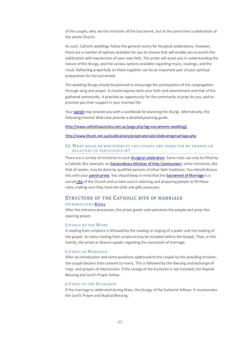of the couple, who are the ministers of the Sacrament, but at the same time a celebration of the whole Church.

As such, Catholic weddings follow the general norms for liturgical celebrations. However, there are a number of options available for you to choose that will enable you to enrich the celebration with expressions of your own faith. The priest will assist you in understanding the nature of the liturgy, and the various options available regarding music, readings, and the ritual. Reflecting prayerfully on these together can be an important part of your spiritual preparation for the sacrament.

The wedding liturgy should be planned to encourage the participation of the congregation through song and prayer. It should express both your faith and commitment and that of the gathered community. It provides an opportunity for the community to pray for you, and to promise you their support in your married life.

You[r parish](#page-35-0) may provide you with a workbook for planning the liturgy. Alternatively, the following internet Web sites provide a detailed planning guide.

### <http://www.catholicaustralia.com.au/page.php?pg=sacraments-wedding1>

<http://www.litcom.net.au/publications/prepmaterials/celebratingmarriage.php>

#### <span id="page-26-0"></span>52. WHAT RO LES O R M INIST RIES O F T HE LIT URGY ARE T H ERE F OR M Y F RIENDS OR RELATIVES TO PARTICIPATE IN?

There are a variety of ministries in each **liturgical celebration**. Some roles can only be filled by a Catholic (for example, a[n Extraordinary Minister of Holy Communion\)](#page-34-0); other ministries, like that of reader, may be done by qualified persons of other faith traditions. You should discuss this with you[r parish priest.](#page-35-1) You should keep in mind that th[e Sacrament of Marriage](#page-36-2) is a sacred [rite](#page-35-3) of the Church and so take care in selecting and preparing people to fill these roles, making sure they have the skills and gifts necessary.

# <span id="page-26-1"></span>STRUCTURE OF THE CATHOLIC RITE OF MARRIAGE

## <span id="page-26-2"></span>INTRODUCTORY [Rites](#page-35-3)

After the entrance procession, the priest greets and welcomes the people and prays the opening prayer.

#### <span id="page-26-3"></span>LITURGY OF THE WO RD

A reading from scripture is followed by the reading orsinging of a psalm and the reading of the gospel. An extra reading from scripture may be included before the Gospel. Then, in the homily, the priest or deacon speaks regarding the sacrament of marriage.

#### <span id="page-26-4"></span>LITURGY OF MARRIAGE

After an introduction and some questions addressed to the couple by the presiding minister, the couple declare their consent to marry. This is followed by the blessing and exchange of rings, and prayers of intercession. If the Liturgy of the Eucharist is not included, the Nuptial Blessing and Lord's Prayer follow.

#### <span id="page-26-5"></span>LITURGY OF THE EUCHARIST

If the marriage is celebrated during Mass, the Liturgy of the Eucharist follows. It incorporates the Lord's Prayer and Nuptial Blessing.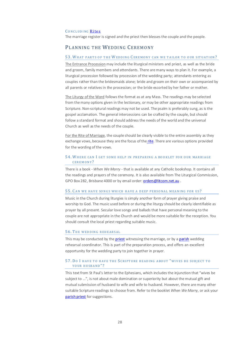#### <span id="page-27-0"></span>CONCLUDING [Rites](#page-35-3)

The marriage register is signed and the priest then blesses the couple and the people.

# <span id="page-27-1"></span>PLANNING THE WEDDING CEREMONY

#### <span id="page-27-2"></span>53. WHAT PARTS OF THE WEDDING CEREMONY CAN WE TAILOR TO OUR SITUATION?

The Entrance Procession may include the liturgical ministers and priest, as well as the bride and groom, family members and attendants. There are many ways to plan it. For example, a liturgical procession followed by procession of the wedding party; attendants entering as couples rather than the bridesmaids alone; bride and groom on their own or accompanied by all parents or relatives in the procession; or the bride escorted by her father or mother.

The Liturgy of the Word follows the format as at any Mass. The readings may be selected from the many options given in the lectionary, or may be other appropriate readings from Scripture. Non-scriptural readings may not be used. The psalm is preferably sung, as is the gospel acclamation. The general intercessions can be crafted by the couple, but should follow a standard format and should address the needs of the world and the universal Church as well as the needs of the couple.

For the Rite of Marriage, the couple should be clearly visible to the entire assembly as they exchange vows, because they are the focus of the [rite.](#page-35-3) There are various options provided for the wording of the vows.

#### <span id="page-27-3"></span>54. WHERE CAN I GET SOME HELP IN PREPARING A BOOKLET FOR OUR MARRIAGE CEREMONY?

There is a book *- When We Marry* - that is available at any Catholic bookshop. It contains all the readings and prayers of the ceremony. It is also available from The Liturgical Commission, GPO Box 282, Brisbane 4000 or by email order[: orders@litcom.net.au](mailto:orders@litcom.net.au) .

#### <span id="page-27-4"></span>55. CAN WE HAVE SONGS WHICH HAVE A DEEP PERSONAL MEANING FOR US?

Music in the Church during liturgies is simply another form of prayer giving praise and worship to God. The music used before or during the liturgy should be clearly identifiable as prayer by all present. Secular love songs and ballads that have personal meaning to the couple are not appropriate in the Church and would be more suitable for the reception. You should consult the local priest regarding suitable music.

#### <span id="page-27-5"></span>56. THE WEDDING REHEARSAL

This may be conducted by th[e priest](#page-35-1) witnessing the marriage, or by [a parish](#page-35-0) wedding rehearsal coordinator. This is part of the preparation process, and offers an excellent opportunity for the wedding party to join together in prayer.

#### <span id="page-27-6"></span>57. DO I HAVE TO HAVE THE SCRIPTURE READING ABO UT "WIVES BE SUBJECT TO YOUR HUSBAND"?

This text from St Paul's letter to the Ephesians, which includes the injunction that "wives be subject to ...", is not about male domination or superiority but about the mutual gift and mutual submission of husband to wife and wife to husband. However, there are many other suitable Scripture readings to choose from. Refer to the booklet *When We Marry,* or ask your [parish priest](#page-35-1) for suggestions.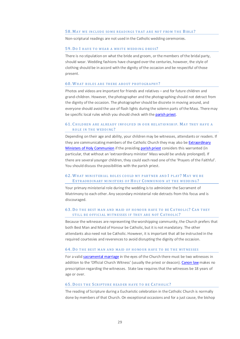#### <span id="page-28-0"></span>58. MAY WE INCLUDE SOME READINGS THAT ARE NOT FROM THE BIBLE?

Non-scriptural readings are not used in the Catholic wedding ceremonies.

#### <span id="page-28-1"></span>59. DO I HAVE TO WEAR A WHITE WEDDING DRESS?

There is no stipulation on what the bride and groom, or the members of the bridal party, should wear. Wedding fashions have changed over the centuries, however, the style of clothing should be in accord with the dignity of the occasion and be respectful of those present.

#### <span id="page-28-2"></span>60. WHAT RULES ARE THERE ABOUT PHOTOGRAPHY?

Photos and videos are important for friends and relatives – and for future children and grand-children. However, the photographer and the photographing should not detract from the dignity of the occasion. The photographer should be discrete in moving around, and everyone should avoid the use of flash lights during the solemn parts of the Mass. There may be specific local rules which you should check with th[e parish priest.](#page-35-1)

## <span id="page-28-3"></span>61. CHILDREN ARE ALREADY INVOLVED IN OUR RELATIONSHIP. MAY THEY HAVE A ROLE IN THE WEDDING?

Depending on their age and ability, your children may be witnesses, attendants or readers. If they are communicating members of the Catholic Church they may also be Extraordinary [Ministers of Holy Communion](#page-34-0) if the presiding [parish priest](#page-35-1) considers this warranted (in particular, that without an 'extraordinary minister' Mass would be unduly prolonged). If there are several younger children, they could each read one of the 'Prayers of the Faithful'. You should discuss the possibilities with the parish priest.

# <span id="page-28-4"></span>62. WHAT MINISTERIAL ROLES COULD MY PARTNER AND I PLAY? MAY WE BE EXTRAORD IN ARY MINISTERS OF HOLY COMMUNION AT THE WEDDING?

Your primary ministerial role during the wedding is to administer the Sacrament of Matrimony to each other. Any secondary ministerial role detracts from this focus and is discouraged.

# <span id="page-28-5"></span>63. DO THE BEST MAN AND MAID OF HONOUR HAVE TO BE CATHOLIC? CAN THEY STILL BE OFFICIAL WITNESSES IF THEY ARE NOT CATHOLIC?

Because the witnesses are representing the worshipping community, the Church prefers that both Best Man and Maid of Honour be Catholic, but it is not mandatory. The other attendants also need not be Catholic. However, it is important that all be instructed in the required courtesies and reverences to avoid disrupting the dignity of the occasion.

#### <span id="page-28-6"></span>64. DO THE BEST MAN AND MAID OF HONOUR HAVE TO BE THE WITNESSES

For a vali[d sacramental marriage](#page-36-2) in the eyes of the Church there must be two witnesses in addition to the 'Official Church Witness' (usually the priest or deacon)[. Canon law](#page-32-1) makes no prescription regarding the witnesses. State law requires that the witnesses be 18 years of age or over.

#### <span id="page-28-7"></span>65. DOES THE SCRIPTURE READER HAVE TO BE CATHOLIC?

The reading of Scripture during a Eucharistic celebration in the Catholic Church is normally done by members of that Church. On exceptional occasions and for a just cause, the bishop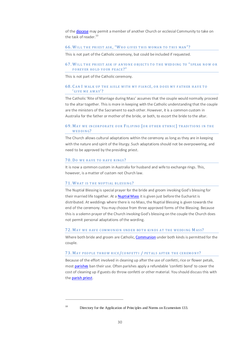of th[e diocese](#page-33-3) may permit a member of another Church or ecclesial Community to take on the task of reader.<sup>10</sup>

#### <span id="page-29-0"></span>66. WILL THE PRIEST ASK, "WHO GIVES THIS WOMAN TO THIS MAN"?

This is not part of the Catholic ceremony, but could be included if requested.

#### <span id="page-29-1"></span>67. WILL THE PRIEST ASK IF ANYONE OBIECTS TO THE WEDDING TO "SPEAK NOW OR FOREVER HOLD YOUR PEACE?"

This is not part of the Catholic ceremony.

#### <span id="page-29-2"></span>68. C AN I WALK UP T HE AISLE WITH MY FIANCÉ, OR DOES MY FATHER HAVE TO ' GIVE ME AWAY'?

The Catholic 'Rite of Marriage during Mass' assumes that the couple would normally proceed to the altar together. This is more in keeping with the Catholic understanding that the couple are the ministers of the Sacrament to each other. However, it is a common custom in Australia for the father or mother of the bride, or both, to escort the bride to the altar.

# <span id="page-29-3"></span>69. MAY WE INCORPORATE OUR FILIPINO [OR OTHER ETHNIC] TRADITIONS IN THE WEDDING?

The Church allows cultural adaptations within the ceremony as long as they are in keeping with the nature and spirit of the liturgy. Such adaptations should not be overpowering, and need to be approved by the presiding priest.

#### <span id="page-29-4"></span>70. DO WE HAVE TO HAVE RINGS?

It is now a common custom in Australia for husband and wife to exchange rings. This, however, is a matter of custom not Church law.

#### <span id="page-29-5"></span>71. WHAT IS THE NUPTIAL BLESSING ?

The Nuptial Blessing is special prayer for the bride and groom invoking God's blessing for their married life together. At [a Nuptial Mass](#page-34-3) it is given just before the Eucharist is distributed. At weddings where there is no Mass, the Nuptial Blessing is given towards the end of the ceremony. You may choose from three approved forms of the Blessing. Because this is a solemn prayer of the Church invoking God's blessing on the couple the Church does not permit personal adaptations of the wording.

#### <span id="page-29-6"></span>72. MAY WE HAVE COMMUNION UNDER BOTH KINDS AT THE WEDDING MASS?

Where both bride and groom are Catholic[, Communion](#page-36-1) under both kinds is permitted for the couple.

#### <span id="page-29-7"></span>73. MAY PEOPLE THROW RICE/CONFETTI / PETALS AFTER THE CEREMONY?

Because of the effort involved in deaning up after the use of confetti, rice or flower petals, most [parishes](#page-35-0) ban their use. Often parishes apply a refundable 'confetti bond' to cover the cost of cleaning up if guests do throw confetti or other material. You should discuss this with th[e parish priest.](#page-35-1)

<sup>&</sup>lt;sup>10</sup> Directory for the Application of Principles and Norms on Ecumenism 133.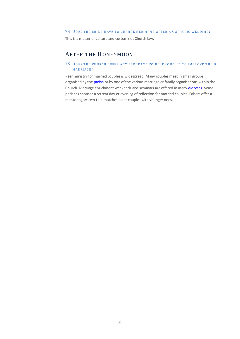# <span id="page-30-0"></span>74. DOES THE BRIDE HAVE TO CHANGE HER NAME AFTER A CATHOLIC WEDDING?

This is a matter of culture and custom not Church law.

# <span id="page-30-1"></span>AFTER THE HONEYMOON

# <span id="page-30-2"></span>75. DOES THE CHURCH OFFER ANY PROGRAMS TO HELP COUPLES TO IMPROVE THEIR MARRIAGE?

Peer ministry for married couples is widespread. Many couples meet in small groups organised by th[e parish](#page-35-0) or by one of the various marriage or family organisations within the Church. Marriage enrichment weekends and seminars are offered in man[y dioceses.](#page-33-3) Some parishes sponsor a retreat day or evening of reflection for married couples. Others offer a mentoring system that matches older couples with younger ones.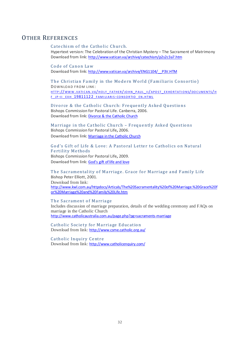# <span id="page-31-2"></span><span id="page-31-1"></span><span id="page-31-0"></span>OTHER REFERENCES

# Catechism of the Catholic Church.

Hypertext version: The Celebration of the Christian Mystery – The Sacrament of Matrimony Download from link: <http://www.vatican.va/archive/catechism/p2s2c3a7.htm>

Code of Canon Law Download from link: [http://www.vatican.va/archive/ENG1104/\\_\\_P3V.HTM](http://www.vatican.va/archive/ENG1104/__P3V.HTM)

<span id="page-31-3"></span>The Christian Family in the Modern World (Familiaris Consortio) DOWN LOAD FROM LINK: HTTP://WWW.VATICAN.VA/HOLY\_FATHER/JOHN\_PAUL\_II/APOST\_EXHORTATIONS/DOCUMENTS/H F JP-II EXH 19811122 FAMILIARIS-CONSORTIO EN.HTML

<span id="page-31-4"></span>Divorce & the Catholic Church: Frequently Asked Questions Bishops Commission for Pastoral Life. Canberra, 2006. Download from link: [Divorce & the Catholic Church](http://www.catholic.org.au/index.php?option=com_docman&task=doc_download&gid=142&ItemId=395)

<span id="page-31-5"></span>Marriage in the Catholic Church – Frequently Asked Questions Bishops Commission for Pastoral Life**,** 2006. Download from link: [Marriage in the Catholic Church](http://www.catholic.org.au/index.php?option=com_docman&task=doc_download&gid=238&ItemId=395)

# <span id="page-31-6"></span>God's Gift of Life & Love: A Pastoral Letter to Catholics on Natural Fertility Methods

Bishops Commission for Pastoral Life**,** 2009. Download from link: [God's gift of life and love](http://www.catholic.org.au/index.php?option=com_docman&task=doc_download&gid=914&ItemId=395)

<span id="page-31-7"></span>The Sacramentality of Marriage. Grace for Marriage and Family Life Bishop Peter Elliott, 2001. Download from link: [http://www.kwl.com.au/httpdocs/Articals/The%20Sacramentality%20of%20Marriage.%20Grace%20f](http://www.kwl.com.au/httpdocs/Articals/The%20Sacramentality%20of%20Marriage.%20Grace%20for%20Marriage%20and%20Family%20Life.htm) [or%20Marriage%20and%20Family%20Life.htm](http://www.kwl.com.au/httpdocs/Articals/The%20Sacramentality%20of%20Marriage.%20Grace%20for%20Marriage%20and%20Family%20Life.htm)

#### <span id="page-31-8"></span>The Sacrament of Marriage

Includes discussion of marriage preparation, details of the wedding ceremony and FAQs on marriage in the Catholic Church <http://www.catholicaustralia.com.au/page.php?pg=sacraments-marriage>

<span id="page-31-9"></span>Catholic Society for Marriage Education Download from link: <http://www.csme.catholic.org.au/>

<span id="page-31-10"></span>Catholic Inquiry Centre Download from link: <http://www.catholicenquiry.com/>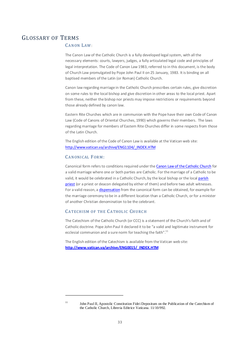# <span id="page-32-1"></span><span id="page-32-0"></span>GLOSSARY OF TERMS

# CANON LAW:

The Canon Law of the Catholic Church is a fully developed legal system, with all the necessary elements: courts, lawyers, judges, a fully articulated legal code and principles of legal interpretation. The Code of Canon Law 1983, referred to in this document, is the body of Church Law promulgated by Pope John Paul II on 25 January, 1983. It is binding on all baptised members of the Latin (or Roman) Catholic Church.

Canon law regarding marriage in the Catholic Church prescribes certain rules, give discretion on some rules to the local bishop and give discretion in other areas to the local priest. Apart from these, neither the bishop nor priests may impose restrictions or requirements beyond those already defined by canon law.

Eastern Rite Churches which are in communion with the Pope have their own Code of Canon Law (Code of Canons of Oriental Churches, 1990) which governs their members. The laws regarding marriage for members of Eastern Rite Churches differ in some respects from those of the Latin Church.

The English edition of the Code of Canon Law is available at the Vatican web site: [http://www.vatican.va/archive/ENG1104/\\_INDEX.HTM](http://www.vatican.va/archive/ENG1104/_INDEX.HTM)

# <span id="page-32-2"></span>CANONICAL FORM:

Canonical form refers to conditions required under th[e Canon Law of the Catholic Church](#page-32-1) for a valid marriage where one or both parties are Catholic. For the marriage of a Catholic to be valid, it would be celebrated in a Catholic Church, by the local bishop or the local parish [priest](#page-35-1) (or a priest or deacon delegated by either of them) and before two adult witnesses. For a valid reason, a [dispensation](#page-33-4) from the canonical form can be obtained, for example for the marriage ceremony to be in a different location than a Catholic Church, or for a minister of another Christian denomination to be the celebrant.

# <span id="page-32-3"></span>CATECHISM OF THE CATHOLIC CHURCH

The Catechism of the Catholic Church (or CCC) is a statement of the Church's faith and of Catholic doctrine. Pope John Paul II declared it to be "a valid and legitimate instrument for ecclesial communion and a sure norm for teaching the faith".<sup>11</sup>

The English edition of the Catechism is available from the Vatican web site: **[http://www.vatican.va/archive/ENG0015/\\_INDEX.HTM](http://www.vatican.va/archive/ENG0015/_INDEX.HTM)**

<sup>&</sup>lt;sup>11</sup> John Paul II, Apostolic Constitution Fidei Depositum on the Publication of the Catechism of the Catholic Church, Libreria Editrice Vaticana. 11/10/992.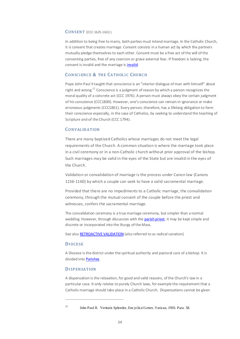#### <span id="page-33-0"></span>CONSENT (CCC 1625-1632.)

In addition to being free to marry, both parties must intend marriage. In the Catholic Church, it is consent that creates marriage. Consent consists in a human act by which the partners mutually pledge themselves to each other. Consent must be a free act of the will of the consenting parties, free of any coercion or grave external fear. If freedom is lacking, the consent is invalid and the marriage i[s invalid.](#page-37-0)

# <span id="page-33-1"></span>CONSCIENCE & THE CATHOLIC CHURCH

Pope John Paul II taught that conscience is an "interior dialogue of man with himself" about right and wrong.<sup>12</sup> Conscience is a judgment of reason by which a person recognizes the moral quality of a concrete act (CCC 1976). A person must always obey the certain judgment of his conscience (CCC1800). However, one's conscience can remain in ignorance or make erroneous judgments (CCC1801). Every person, therefore, has a lifelong obligation to form their conscience especially, in the case of Catholics, by seeking to understand the teaching of Scripture and of the Church (CCC 1794).

# <span id="page-33-2"></span>CONVAL ID ATION

There are many baptised Catholics whose marriages do not meet the legal requirements of the Church. A common situation is where the marriage took place in a civil ceremony or in a non-Catholic church without prior approval of the bishop. Such marriages may be valid in the eyes of the State but are invalid in the eyes of the Church.

Validation or convalidation of marriage is the process under [Canon law](http://en.wikipedia.org/wiki/Canon_law_(Catholic_Church)) (Canons 1156-1160) by which a couple can seek to have a valid sacramental marriage.

Provided that there are no impediments to a Catholic marriage, the convalidation ceremony, through the mutual consent of the couple before the priest and witnesses, confers the sacramental marriage.

The convalidation ceremony is a true marriage ceremony, but simpler than a normal wedding. However, through discussion with th[e parish priest,](#page-35-1) it may be kept simple and discrete or incorporated into the liturgy of the Mass.

See als[o RETROACTIVE VALIDATION](#page-35-2) (also referred to as radical sanation)

#### <span id="page-33-3"></span>DIOCESE

.

A Diocese is the district under the spiritual authority and pastoral care of a bishop. It is divided into [Parishes.](#page-35-0)

#### <span id="page-33-4"></span>**DISPENSATION**

A dispensation is the relaxation, for good and valid reasons, of the Church's law in a particular case. It only relates to purely Church laws, for example the requirement that a Catholic marriage should take place in a Catholic Church. Dispensations cannot be given

<sup>&</sup>lt;sup>12</sup> John Paul II. Veritatis Splendor, Encyclical Letter, Vatican, 1993. Para. 58.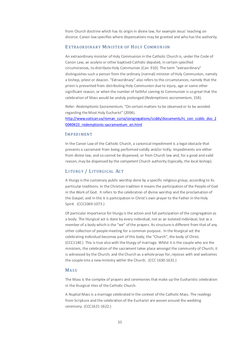from Church doctrine which has its origin in divine law, for example Jesus' teaching on divorce. Canon law specifies where dispensations may be granted and who has the authority.

# <span id="page-34-0"></span>EXTRAORDINARY MINISTER OF HOLY COMMUNION

An extraordinary minister of Holy Communion in the Catholic Church is, under the Code of Canon Law, an acolyte or other baptised Catholic deputed, in certain specified circumstances, to distribute Holy Communion (Can. 910). The term "extraordinary" distinguishes such a person from the ordinary (normal) minister of Holy Communion, namely a bishop, priest or deacon. "Extraordinary" also refers to the circumstances, namely that the priest is prevented from distributing Holy Communion due to injury, age or some other significant reason, or when the number of faithful coming to Communion is so great that the celebration of Mass would be unduly prolonged (*Redemptionis sacramentum*, 158).

Refer: *Redemptionis Sacramentum*, "On certain matters to be observed or to be avoided regarding the Most Holy Eucharist" (2004).

[http://www.vatican.va/roman\\_curia/congregations/ccdds/documents/rc\\_con\\_ccdds\\_doc\\_2](http://www.vatican.va/roman_curia/congregations/ccdds/documents/rc_con_ccdds_doc_20040423_redemptionis-sacramentum_en.html) [0040423\\_redemptionis-sacramentum\\_en.html](http://www.vatican.va/roman_curia/congregations/ccdds/documents/rc_con_ccdds_doc_20040423_redemptionis-sacramentum_en.html) 

## <span id="page-34-1"></span>IMPEDIMENT

In the Canon Law of the Catholic Church, a canonical impediment is a legal obstacle that prevents a sacrament from being performed validly and/or licitly. Impediments are either from divine law, and so cannot be dispensed, or from Church law and, for a good and valid reason, may be dispensed by the competent Church authority (typically, the local bishop).

# <span id="page-34-2"></span>LITURGY / LITURGICAL ACT

A liturgy is the customary public worship done by a specific religious group, according to its particular traditions. In the Christian tradition it means the participation of the People of God in the Work of God. It refers to the celebration of divine worship and the proclamation of the Gospel, and in this it is participation in Christ's own prayer to the Father in the Holy Spirit. (CCC1069-1073.)

Of particular importance for liturgy is the action and full participation of the congregation as a body. The liturgical act is done by every individual, not as an isolated individual, but as a member of a body which is the "we" of the prayers. Its structure is different from that of any other collection of people meeting for a common purpose. In the liturgical act the celebrating individual becomes part of this body, the "Church", the body of Christ. (CCC1140.) This is true also with the liturgy of marriage. Whilst it is the couple who are the ministers, the celebration of the sacrament takes place amongst the community of Church; it is witnessed by the Church; and the Church as a whole prays for, rejoices with and welcomes the couple into a new ministry within the Church. (CCC 1630-1631.)

#### <span id="page-34-3"></span>MASS

The Mass is the complex of prayers and ceremonies that make up the Eucharistic celebration in the liturgical rites of the Catholic Church.

A Nuptial Mass is a marriage celebrated in the context of the Catholic Mass. The readings from Scripture and the celebration of the Eucharist are woven around the wedding ceremony. (CCC1621-1622.)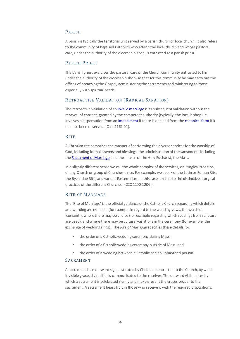# <span id="page-35-0"></span>PARISH

A parish is typically the territorial unit served by a parish church or local church. It also refers to the community of baptised Catholics who attend the local church and whose pastoral care, under the authority of the diocesan bishop, is entrusted to a parish priest.

#### <span id="page-35-1"></span>PARISH PRIEST

The parish priest exercises the pastoral care of the Church community entrusted to him under the authority of the diocesan bishop, so that for this community he may carry out the offices of preaching the Gospel, administering the sacraments and ministering to those especially with spiritual needs.

# <span id="page-35-2"></span>RETROACTIVE VALIDATION ( RADICAL SANATION)

The retroactive validation of a[n invalid marriage](#page-37-0) is its subsequent validation without the renewal of consent, granted by the competent authority (typically, the local bishop). It involves a dispensation from an [impediment](#page-34-1) if there is one and from th[e canonical form](#page-32-2) if it had not been observed. (Can. 1161 §1).

#### <span id="page-35-3"></span>**RITE**

A Christian rite comprises the manner of performing the diverse services for the worship of God, including formal prayers and blessings, the administration of the sacraments including the **Sacrament of Marriage**, and the service of the Holy Eucharist, the Mass.

In a slightly different sense we call the whole complex of the services, or liturgical tradition, of any Church or group of Churches a rite. For example, we speak of the Latin or Roman Rite, the Byzantine Rite, and various Eastern rites. In this case it refers to the distinctive liturgical practices of the different Churches. (CCC 1200-1206.)

#### <span id="page-35-4"></span>RITE OF MARRIAGE

The 'Rite of Marriage' is the official guidance of the Catholic Church regarding which details and wording are essential (for example in regard to the wedding vows, the words of 'consent'), where there may be choice (for example regarding which readings from scripture are used), and where there may be cultural variations in the ceremony (for example, the exchange of wedding rings). The *Rite of Marriage* specifies these details for:

- the order of a Catholic wedding ceremony during Mass;
- the order of a Catholic wedding ceremony outside of Mass; and
- **the order of a wedding between a Catholic and an unbaptised person.**

## <span id="page-35-5"></span>SACRAMENT

A sacrament is an outward sign, instituted by Christ and entrusted to the Church, by which invisible grace, divine life, is communicated to the receiver. The outward visible rites by which a sacrament is celebrated signify and make present the graces proper to the sacrament. A sacrament bears fruit in those who receive it with the required dispositions.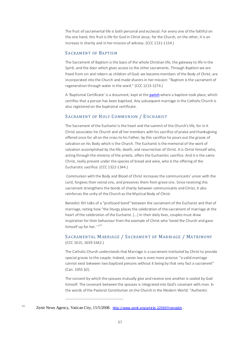The fruit of sacramental life is both personal and ecclesial. For every one of the faithful on the one hand, this fruit is life for God in Christ Jesus; for the Church, on the other, it is an increase in charity and in her mission of witness. (CCC 1131-1134.)

# <span id="page-36-0"></span>SACRAMENT OF BAPTISM

The Sacrament of Baptism is the basis of the whole Christian life, the gateway to life in the Spirit, and the door which gives access to the other sacraments. Through Baptism we are freed from sin and reborn as children of God; we become members of the Body of Christ, are incorporated into the Church and made sharers in her mission: "Baptism is the sacrament of regeneration through water in the word." (CCC 1213-1274.)

A 'Baptismal Certificate' is a document, kept at th[e parish](#page-35-0) where a baptism took place, which certifies that a person has been baptised. Any subsequent marriage in the Catholic Church is also registered on the baptismal certificate.

# <span id="page-36-1"></span>SACRAMENT OF HOLY COMMUNION / EUCHARIST

The Sacrament of the Eucharist is the heart and the summit of the Church's life, for in it Christ associates his Church and all her members with his sacrifice of praise and thanksgiving offered once for all on the cross to his Father; by this sacrifice he pours out the graces of salvation on his Body which is the Church. The Eucharist is the memorial of the work of salvation accomplished by the life, death, and resurrection of Christ. It is Christ himself who, acting through the ministry of the priests, offers the Eucharistic sacrifice. And it is the same Christ, really present under the species of bread and wine, who is the offering of the Eucharistic sacrifice. (CCC 1322-1344.)

Communion with the Body and Blood of Christ increases the communicants' union with the Lord, forgives their venial sins, and preserves them from grave sins. Since receiving this sacrament strengthens the bonds of charity between communicants and Christ, it also reinforces the unity of the Church as the Mystical Body of Christ.

Benedict XVI talks of a "profound bond" between the sacrament of the Eucharist and that of marriage, noting how "the liturgy places the celebration of the sacrament of marriage at the heart of the celebration of the Eucharist. [...] In their daily lives, couples must draw inspiration for their behaviour from the example of Christ who 'loved the Church and gave himself up for her.' "<sup>13</sup>

# <span id="page-36-2"></span>SACRAMENTAL MARRIAGE / SACRAMENT OF MARRIAGE / MATRIMONY (CCC 1615, 1639-1642.)

The Catholic Church understands that Marriage is a sacrament instituted by Christ to provide special graces to the couple. Indeed, canon law is even more precise: "a valid marriage cannot exist between two baptized persons without it being by that very fact a sacrament" (Can. 1055 §2).

The consent by which the spouses mutually give and receive one another is sealed by God himself. The covenant between the spouses is integrated into God's covenant with man. In the words of the Pastoral Constitution on the Church in the Modern World: "Authentic

<sup>13</sup> Zenit News Agency, Vatican City, 15/5/2008. http://www.zenit.org/article-22593?I=english.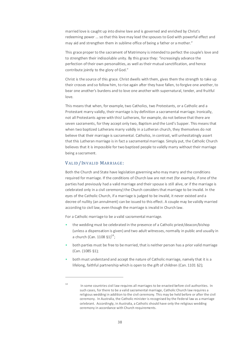married love is caught up into divine love and is governed and enriched by Christ's redeeming power ... so that this love may lead the spouses to God with powerful effect and may aid and strengthen them in sublime office of being a father or a mother."

This grace proper to the sacrament of Matrimony is intended to perfect the couple's love and to strengthen their indissoluble unity. By this grace they: "increasingly advance the perfection of their own personalities, as well as their mutual sanctification, and hence contribute jointly to the glory of God."

Christ is the source of this grace. Christ dwells with them, gives them the strength to take up their crosses and so follow him, to rise again after they have fallen, to forgive one another, to bear one another's burdens and to love one another with supernatural, tender, and fruitful love.

This means that when, for example, two Catholics, two Protestants, or a Catholic and a Protestant marry validly, their marriage is by definition a sacramental marriage. Ironically, not all Protestants agree with this! Lutherans, for example, do not believe that there are seven sacraments, for they accept only two, Baptism and the Lord's Supper. This means that when two baptized Lutherans marry validly in a Lutheran church, they themselves do not believe that their marriage is sacramental. Catholics, in contrast, will unhesitatingly assert that this Lutheran marriage is in fact a sacramental marriage. Simply put, the Catholic Church believes that it is impossible for two baptized people to validly marry without their marriage being a sacrament.

# <span id="page-37-0"></span>[VALID/ INVALID](#page-37-0) MARRIAGE:

.

Both the Church and State have legislation governing who may marry and the conditions required for marriage. If the conditions of Church law are not met (for example, if one of the parties had previously had a valid marriage and their spouse is still alive, or if the marriage is celebrated only in a civil ceremony) the Church considers that marriage to be invalid. In the eyes of the Catholic Church, if a marriage is judged to be invalid, it never existed and a decree of nullity (an annulment) can be issued to this effect. A couple may be validly married according to civil law, even though the marriage is invalid in Church law.

For a Catholic marriage to be [a valid](#page-37-0) [sacramental marriage.](#page-36-2)

- the wedding must be celebrated in the presence of a Catholic priest/deacon/bishop (unless a dispensation is given) and two adult witnesses, normally in public and usually in a church (Can.  $1108 \xi^{1}$ )<sup>14</sup>;
- both parties must be free to be married, that is neither person has a prior valid marriage (Can. (1085 §1);
- both must understand and accept the nature of Catholic marriage, namely that it is a lifelong, faithful partnership which is open to the gift of children (Can. 1101 §2);

<sup>&</sup>lt;sup>14</sup> In some countries civil law requires all marriages to be enacted before civil authorities. In such cases, for there to be a valid sacramental marriage, Catholic Church law requires a religious wedding in addition to the civil ceremony. This may be held before or after the civil ceremony. In Australia, the Catholic minister is recognised by the Federal law as a marriage celebrant. Accordingly, in Australia, a Catholic should have only the religious wedding ceremony in accordance with Church requirements.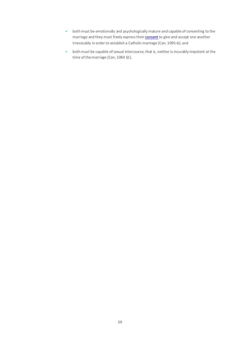- both must be emotionally and psychologically mature and capable of consenting to the marriage and they must freely express their **consent** to give and accept one another irrevocably in order to establish a Catholic marriage (Can. 1095-6); and
- both must be capable of sexual intercourse; that is, neither is incurably impotent at the time of the marriage (Can. 1084 §1).